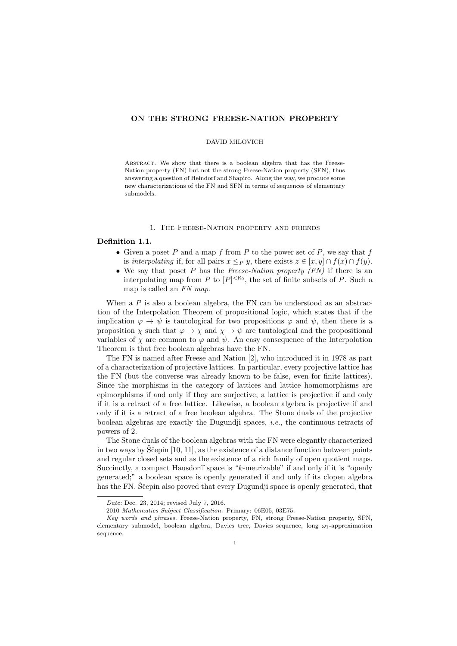## ON THE STRONG FREESE-NATION PROPERTY

### DAVID MILOVICH

ABSTRACT. We show that there is a boolean algebra that has the Freese-Nation property (FN) but not the strong Freese-Nation property (SFN), thus answering a question of Heindorf and Shapiro. Along the way, we produce some new characterizations of the FN and SFN in terms of sequences of elementary submodels.

### 1. The Freese-Nation property and friends

# Definition 1.1.

- Given a poset  $P$  and a map  $f$  from  $P$  to the power set of  $P$ , we say that  $f$ is interpolating if, for all pairs  $x \leq_P y$ , there exists  $z \in [x, y] \cap f(x) \cap f(y)$ .
- We say that poset P has the Freese-Nation property  $(FN)$  if there is an interpolating map from P to  $[P]^{< \aleph_0}$ , the set of finite subsets of P. Such a map is called an FN map.

When a  $P$  is also a boolean algebra, the FN can be understood as an abstraction of the Interpolation Theorem of propositional logic, which states that if the implication  $\varphi \to \psi$  is tautological for two propositions  $\varphi$  and  $\psi$ , then there is a proposition  $\chi$  such that  $\varphi \to \chi$  and  $\chi \to \psi$  are tautological and the propositional variables of  $\chi$  are common to  $\varphi$  and  $\psi$ . An easy consequence of the Interpolation Theorem is that free boolean algebras have the FN.

The FN is named after Freese and Nation [2], who introduced it in 1978 as part of a characterization of projective lattices. In particular, every projective lattice has the FN (but the converse was already known to be false, even for finite lattices). Since the morphisms in the category of lattices and lattice homomorphisms are epimorphisms if and only if they are surjective, a lattice is projective if and only if it is a retract of a free lattice. Likewise, a boolean algebra is projective if and only if it is a retract of a free boolean algebra. The Stone duals of the projective boolean algebras are exactly the Dugundji spaces, *i.e.*, the continuous retracts of powers of 2.

The Stone duals of the boolean algebras with the FN were elegantly characterized in two ways by  $\tilde{S}$ cepin [10, 11], as the existence of a distance function between points and regular closed sets and as the existence of a rich family of open quotient maps. Succinctly, a compact Hausdorff space is "k-metrizable" if and only if it is "openly generated;" a boolean space is openly generated if and only if its clopen algebra has the FN. Stepin also proved that every Dugundji space is openly generated, that

Date: Dec. 23, 2014; revised July 7, 2016.

<sup>2010</sup> Mathematics Subject Classification. Primary: 06E05, 03E75.

Key words and phrases. Freese-Nation property, FN, strong Freese-Nation property, SFN, elementary submodel, boolean algebra, Davies tree, Davies sequence, long  $\omega_1$ -approximation sequence.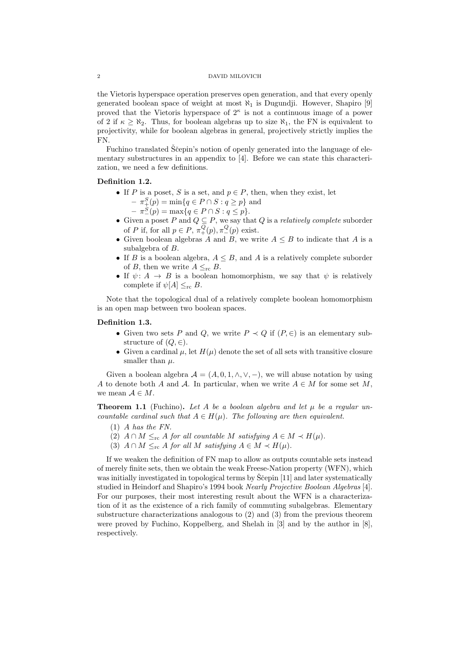the Vietoris hyperspace operation preserves open generation, and that every openly generated boolean space of weight at most  $\aleph_1$  is Dugundji. However, Shapiro [9] proved that the Vietoris hyperspace of  $2^{\kappa}$  is not a continuous image of a power of 2 if  $\kappa \geq \aleph_2$ . Thus, for boolean algebras up to size  $\aleph_1$ , the FN is equivalent to projectivity, while for boolean algebras in general, projectively strictly implies the FN.

Fuchino translated Ščepin's notion of openly generated into the language of elementary substructures in an appendix to [4]. Before we can state this characterization, we need a few definitions.

# Definition 1.2.

- If P is a poset, S is a set, and  $p \in P$ , then, when they exist, let
	- $\pi_+^S(p) = \min\{q \in P \cap S : q \geq p\}$  and
	- $\pi_-^S(p) = \max\{q \in P \cap S : q \leq p\}.$
- Given a poset P and  $Q \subseteq P$ , we say that Q is a relatively complete suborder of P if, for all  $p \in P$ ,  $\pi^Q_+(p)$ ,  $\pi^Q_-(p)$  exist.
- Given boolean algebras A and B, we write  $A \leq B$  to indicate that A is a subalgebra of B.
- If B is a boolean algebra,  $A \leq B$ , and A is a relatively complete suborder of B, then we write  $A \leq_{\text{rc}} B$ .
- If  $\psi: A \to B$  is a boolean homomorphism, we say that  $\psi$  is relatively complete if  $\psi[A] \leq_{\text{rc}} B$ .

Note that the topological dual of a relatively complete boolean homomorphism is an open map between two boolean spaces.

## Definition 1.3.

- Given two sets P and Q, we write  $P \prec Q$  if  $(P, \in)$  is an elementary substructure of  $(Q, \in)$ .
- Given a cardinal  $\mu$ , let  $H(\mu)$  denote the set of all sets with transitive closure smaller than  $\mu$ .

Given a boolean algebra  $A = (A, 0, 1, \wedge, \vee, -)$ , we will abuse notation by using A to denote both A and A. In particular, when we write  $A \in M$  for some set M, we mean  $A \in M$ .

**Theorem 1.1** (Fuchino). Let A be a boolean algebra and let  $\mu$  be a regular uncountable cardinal such that  $A \in H(\mu)$ . The following are then equivalent.

- (1) A has the FN.
- (2)  $A \cap M \leq_{\text{rc}} A$  for all countable M satisfying  $A \in M \prec H(\mu)$ .
- (3)  $A \cap M \leq_{\text{rc}} A$  for all M satisfying  $A \in M \prec H(\mu)$ .

If we weaken the definition of FN map to allow as outputs countable sets instead of merely finite sets, then we obtain the weak Freese-Nation property (WFN), which was initially investigated in topological terms by  $\tilde{S}$ cepin [11] and later systematically studied in Heindorf and Shapiro's 1994 book Nearly Projective Boolean Algebras [4]. For our purposes, their most interesting result about the WFN is a characterization of it as the existence of a rich family of commuting subalgebras. Elementary substructure characterizations analogous to (2) and (3) from the previous theorem were proved by Fuchino, Koppelberg, and Shelah in [3] and by the author in [8], respectively.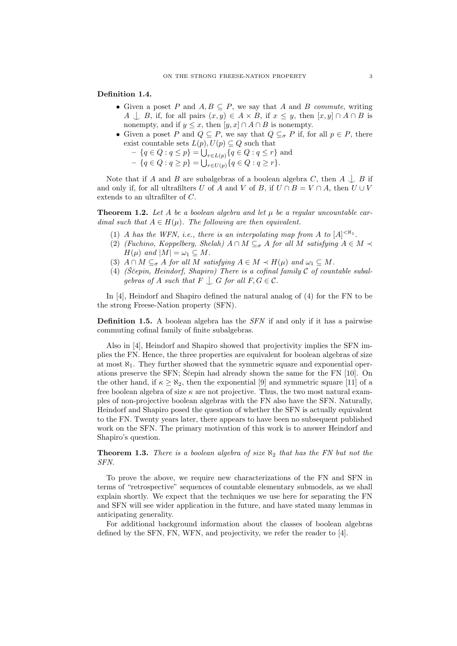### Definition 1.4.

- Given a poset P and  $A, B \subseteq P$ , we say that A and B commute, writing A  $\Box$  B, if, for all pairs  $(x, y) \in A \times B$ , if  $x \leq y$ , then  $[x, y] \cap A \cap B$  is nonempty, and if  $y \leq x$ , then  $[y, x] \cap A \cap B$  is nonempty.
- Given a poset P and  $Q \subseteq P$ , we say that  $Q \subseteq_{\sigma} P$  if, for all  $p \in P$ , there exist countable sets  $L(p), U(p) \subseteq Q$  such that
	- $\{q \in Q : q \leq p\} = \bigcup_{r \in L(p)} \{q \in Q : q \leq r\}$  and
	- $\{q \in Q : q \geq p\} = \bigcup_{r \in U(p)} \{q \in Q : q \geq r\}.$

Note that if A and B are subalgebras of a boolean algebra C, then  $A \cup B$  if and only if, for all ultrafilters U of A and V of B, if  $U \cap B = V \cap A$ , then  $U \cup V$ extends to an ultrafilter of C.

**Theorem 1.2.** Let A be a boolean algebra and let  $\mu$  be a regular uncountable cardinal such that  $A \in H(\mu)$ . The following are then equivalent.

- (1) A has the WFN, i.e., there is an interpolating map from A to  $[A]^{<\aleph_1}$ .
- (2) (Fuchino, Koppelberg, Shelah)  $A \cap M \subseteq_{\sigma} A$  for all M satisfying  $A \in M \prec$  $H(\mu)$  and  $|M| = \omega_1 \subseteq M$ .
- (3)  $A \cap M \subseteq_{\sigma} A$  for all M satisfying  $A \in M \prec H(\mu)$  and  $\omega_1 \subseteq M$ .
- (4) (Scepin, Heindorf, Shapiro) There is a cofinal family  $\mathcal C$  of countable subalgebras of A such that  $F \bigcup G$  for all  $F, G \in \mathcal{C}$ .

In [4], Heindorf and Shapiro defined the natural analog of (4) for the FN to be the strong Freese-Nation property (SFN).

**Definition 1.5.** A boolean algebra has the  $SFN$  if and only if it has a pairwise commuting cofinal family of finite subalgebras.

Also in [4], Heindorf and Shapiro showed that projectivity implies the SFN implies the FN. Hence, the three properties are equivalent for boolean algebras of size at most  $\aleph_1$ . They further showed that the symmetric square and exponential operations preserve the SFN; Ščepin had already shown the same for the FN  $[10]$ . On the other hand, if  $\kappa \geq \aleph_2$ , then the exponential [9] and symmetric square [11] of a free boolean algebra of size  $\kappa$  are not projective. Thus, the two most natural examples of non-projective boolean algebras with the FN also have the SFN. Naturally, Heindorf and Shapiro posed the question of whether the SFN is actually equivalent to the FN. Twenty years later, there appears to have been no subsequent published work on the SFN. The primary motivation of this work is to answer Heindorf and Shapiro's question.

**Theorem 1.3.** There is a boolean algebra of size  $\aleph_2$  that has the FN but not the SFN.

To prove the above, we require new characterizations of the FN and SFN in terms of "retrospective" sequences of countable elementary submodels, as we shall explain shortly. We expect that the techniques we use here for separating the FN and SFN will see wider application in the future, and have stated many lemmas in anticipating generality.

For additional background information about the classes of boolean algebras defined by the SFN, FN, WFN, and projectivity, we refer the reader to [4].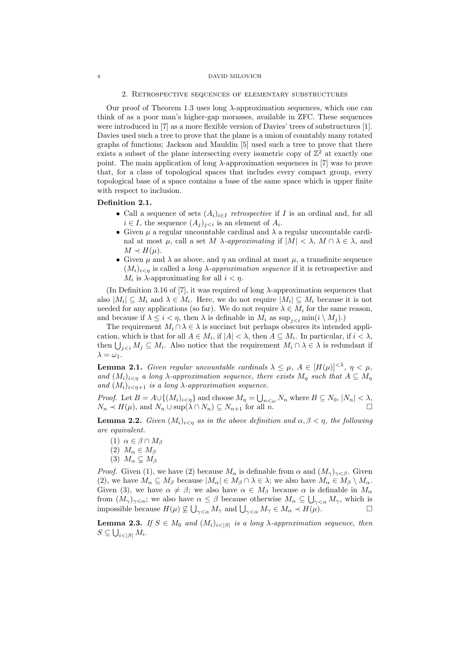#### 2. Retrospective sequences of elementary substructures

Our proof of Theorem 1.3 uses long  $\lambda$ -approximation sequences, which one can think of as a poor man's higher-gap morasses, available in ZFC. These sequences were introduced in [7] as a more flexible version of Davies' trees of substructures [1]. Davies used such a tree to prove that the plane is a union of countably many rotated graphs of functions; Jackson and Mauldin [5] used such a tree to prove that there exists a subset of the plane intersecting every isometric copy of  $\mathbb{Z}^2$  at exactly one point. The main application of long  $\lambda$ -approximation sequences in [7] was to prove that, for a class of topological spaces that includes every compact group, every topological base of a space contains a base of the same space which is upper finite with respect to inclusion.

## Definition 2.1.

- Call a sequence of sets  $(A_i)_{i\in I}$  retrospective if I is an ordinal and, for all  $i \in I$ , the sequence  $(A_j)_{j \leq i}$  is an element of  $A_i$ .
- Given  $\mu$  a regular uncountable cardinal and  $\lambda$  a regular uncountable cardinal at most  $\mu$ , call a set M  $\lambda$ -approximating if  $|M| < \lambda$ ,  $M \cap \lambda \in \lambda$ , and  $M \prec H(\mu)$ .
- Given  $\mu$  and  $\lambda$  as above, and  $\eta$  an ordinal at most  $\mu$ , a transfinite sequence  $(M_i)_{i\leq n}$  is called a *long*  $\lambda$ -*approximation sequence* if it is retrospective and  $M_i$  is  $\lambda$ -approximating for all  $i < \eta$ .

(In Definition 3.16 of [7], it was required of long  $\lambda$ -approximation sequences that also  $|M_i| \subseteq M_i$  and  $\lambda \in M_i$ . Here, we do not require  $|M_i| \subseteq M_i$  because it is not needed for any applications (so far). We do not require  $\lambda \in M_i$  for the same reason, and because if  $\lambda \leq i < \eta$ , then  $\lambda$  is definable in  $M_i$  as  $\sup_{i \leq i} \min(i \setminus M_i)$ .

The requirement  $M_i \cap \lambda \in \lambda$  is succinct but perhaps obscures its intended application, which is that for all  $A \in M_i$ , if  $|A| < \lambda$ , then  $A \subseteq M_i$ . In particular, if  $i < \lambda$ , then  $\bigcup_{j. Also notice that the requirement  $M_i \cap \lambda \in \lambda$  is redundant if$  $\lambda = \omega_1$ .

**Lemma 2.1.** Given regular uncountable cardinals  $\lambda \leq \mu$ ,  $A \in [H(\mu)]^{<\lambda}$ ,  $\eta < \mu$ , and  $(M_i)_{i\leq n}$  a long  $\lambda$ -approximation sequence, there exists  $M_n$  such that  $A \subseteq M_n$ and  $(M_i)_{i \leq n+1}$  is a long  $\lambda$ -approximation sequence.

*Proof.* Let  $B = A \cup \{(M_i)_{i \leq \eta}\}\$ and choose  $M_{\eta} = \bigcup_{n \leq \omega} N_n$  where  $B \subseteq N_0, |N_n| < \lambda$ ,  $N_n \prec H(\mu)$ , and  $N_n \cup \sup(\lambda \cap N_n) \subseteq N_{n+1}$  for all n.

**Lemma 2.2.** Given  $(M_i)_{i \leq n}$  as in the above definition and  $\alpha, \beta \leq \eta$ , the following are equivalent.

- (1)  $\alpha \in \beta \cap M_{\beta}$
- (2)  $M_{\alpha} \in M_{\beta}$
- (3)  $M_{\alpha} \subsetneq M_{\beta}$

*Proof.* Given (1), we have (2) because  $M_{\alpha}$  is definable from  $\alpha$  and  $(M_{\gamma})_{\gamma < \beta}$ . Given (2), we have  $M_{\alpha} \subseteq M_{\beta}$  because  $|M_{\alpha}| \in M_{\beta} \cap \lambda \in \lambda$ ; we also have  $M_{\alpha} \in M_{\beta} \setminus M_{\alpha}$ . Given (3), we have  $\alpha \neq \beta$ ; we also have  $\alpha \in M_\beta$  because  $\alpha$  is definable in  $M_\alpha$ from  $(M_\gamma)_{\gamma<\alpha}$ ; we also have  $\alpha\leq\beta$  because otherwise  $M_\alpha\subseteq\bigcup_{\gamma<\alpha}M_\gamma$ , which is impossible because  $H(\mu) \nsubseteq \bigcup_{\gamma < \alpha} M_{\gamma}$  and  $\bigcup_{\gamma < \alpha} M_{\gamma} \in M_{\alpha} \prec H(\mu)$ .

**Lemma 2.3.** If  $S \in M_0$  and  $(M_i)_{i \leq |S|}$  is a long  $\lambda$ -approximation sequence, then  $S \subseteq \bigcup_{i<|S|} M_i$ .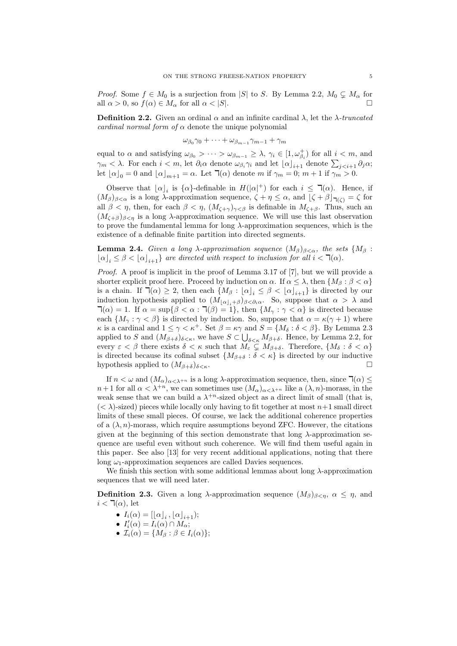*Proof.* Some  $f \in M_0$  is a surjection from |S| to S. By Lemma 2.2,  $M_0 \subsetneq M_\alpha$  for all  $\alpha > 0$ , so  $f(\alpha) \in M_\alpha$  for all  $\alpha < |S|$ .

**Definition 2.2.** Given an ordinal  $\alpha$  and an infinite cardinal  $\lambda$ , let the  $\lambda$ -truncated cardinal normal form of  $\alpha$  denote the unique polynomial

$$
\omega_{\beta_0}\gamma_0 + \cdots + \omega_{\beta_{m-1}}\gamma_{m-1} + \gamma_m
$$

equal to  $\alpha$  and satisfying  $\omega_{\beta_0} > \cdots > \omega_{\beta_{m-1}} \geq \lambda$ ,  $\gamma_i \in [1, \omega_{\beta_i}^+]$  for all  $i < m$ , and  $\gamma_m < \lambda$ . For each  $i < m$ , let  $\partial_i \alpha$  denote  $\omega_{\beta_i} \gamma_i$  and let  $\lfloor \alpha \rfloor_{i+1}$  denote  $\sum_{j < i+1} \partial_j \alpha;$ let  $\lfloor \alpha \rfloor_0 = 0$  and  $\lfloor \alpha \rfloor_{m+1} = \alpha$ . Let  $\lnot(\alpha)$  denote m if  $\gamma_m = 0$ ;  $m + 1$  if  $\gamma_m > 0$ .

Observe that  $\lfloor \alpha \rfloor_i$  is  $\{\alpha\}$ -definable in  $H(|\alpha|^+)$  for each  $i \leq \mathcal{T}(\alpha)$ . Hence, if  $(M_\beta)_{\beta<\alpha}$  is a long  $\lambda$ -approximation sequence,  $\zeta + \eta \leq \alpha$ , and  $[\zeta + \beta]_{\mathcal{H}(\zeta)} = \zeta$  for all  $\beta < \eta$ , then, for each  $\beta < \eta$ ,  $(M_{\zeta+\gamma})_{\gamma<\beta}$  is definable in  $M_{\zeta+\beta}$ . Thus, such an  $(M<sub>C+\beta</sub>)<sub>\beta<sub>n</sub></sub>$  is a long  $\lambda$ -approximation sequence. We will use this last observation to prove the fundamental lemma for long  $\lambda$ -approximation sequences, which is the existence of a definable finite partition into directed segments.

**Lemma 2.4.** Given a long  $\lambda$ -approximation sequence  $(M_\beta)_{\beta<\alpha}$ , the sets  $\{M_\beta\}$ :  $[\alpha]_i \leq \beta < [\alpha]_{i+1}$  are directed with respect to inclusion for all  $i < \mathcal{A}(\alpha)$ .

Proof. A proof is implicit in the proof of Lemma 3.17 of [7], but we will provide a shorter explicit proof here. Proceed by induction on  $\alpha$ . If  $\alpha \leq \lambda$ , then  $\{M_\beta : \beta < \alpha\}$ is a chain. If  $\mathbb{I}(\alpha) \geq 2$ , then each  ${M_\beta : [\alpha]_i \leq \beta < [\alpha]_{i+1}}$  is directed by our induction hypothesis applied to  $(M_{\lfloor \alpha \rfloor_i+\beta})_{\beta<\partial_i\alpha}$ . So, suppose that  $\alpha > \lambda$  and  $\mathcal{T}(\alpha) = 1$ . If  $\alpha = \sup\{\beta < \alpha : \mathcal{T}(\beta) = 1\}$ , then  $\{M_{\gamma} : \gamma < \alpha\}$  is directed because each  $\{M_\gamma : \gamma < \beta\}$  is directed by induction. So, suppose that  $\alpha = \kappa(\gamma + 1)$  where  $\kappa$  is a cardinal and  $1 \leq \gamma < \kappa^+$ . Set  $\beta = \kappa \gamma$  and  $S = \{M_\delta : \delta < \beta\}$ . By Lemma 2.3 applied to S and  $(M_{\beta+\delta})_{\delta<\kappa}$ , we have  $S\subset\bigcup_{\delta<\kappa}M_{\beta+\delta}$ . Hence, by Lemma 2.2, for every  $\varepsilon < \beta$  there exists  $\delta < \kappa$  such that  $M_{\varepsilon} \subsetneq M_{\beta+\delta}$ . Therefore,  $\{M_{\delta} : \delta < \alpha\}$ is directed because its cofinal subset  $\{M_{\beta+\delta} : \delta < \kappa\}$  is directed by our inductive hypothesis applied to  $(M_{\beta+\delta})_{\delta<\kappa}$ .

If  $n < \omega$  and  $(M_\alpha)_{\alpha < \lambda^{+n}}$  is a long  $\lambda$ -approximation sequence, then, since  $\exists (\alpha) \leq$  $n+1$  for all  $\alpha < \lambda^{+n}$ , we can sometimes use  $(M_\alpha)_{\alpha<\lambda^{+n}}$  like a  $(\lambda, n)$ -morass, in the weak sense that we can build a  $\lambda^{+n}$ -sized object as a direct limit of small (that is,  $( $\lambda$ )-sized) pieces while locally only having to fit together at most  $n+1$  small direct$ limits of these small pieces. Of course, we lack the additional coherence properties of a  $(\lambda, n)$ -morass, which require assumptions beyond ZFC. However, the citations given at the beginning of this section demonstrate that long  $\lambda$ -approximation sequence are useful even without such coherence. We will find them useful again in this paper. See also [13] for very recent additional applications, noting that there long  $\omega_1$ -approximation sequences are called Davies sequences.

We finish this section with some additional lemmas about long  $\lambda$ -approximation sequences that we will need later.

**Definition 2.3.** Given a long  $\lambda$ -approximation sequence  $(M_{\beta})_{\beta < n}$ ,  $\alpha \leq \eta$ , and  $i < \mathbb{I}(\alpha)$ , let

- $I_i(\alpha) = [\lfloor \alpha \rfloor_i, \lfloor \alpha \rfloor_{i+1});$
- $I'_i(\alpha) = I_i(\alpha) \cap M_\alpha;$
- $\mathcal{I}_i(\alpha) = \{M_\beta : \beta \in I_i(\alpha)\};$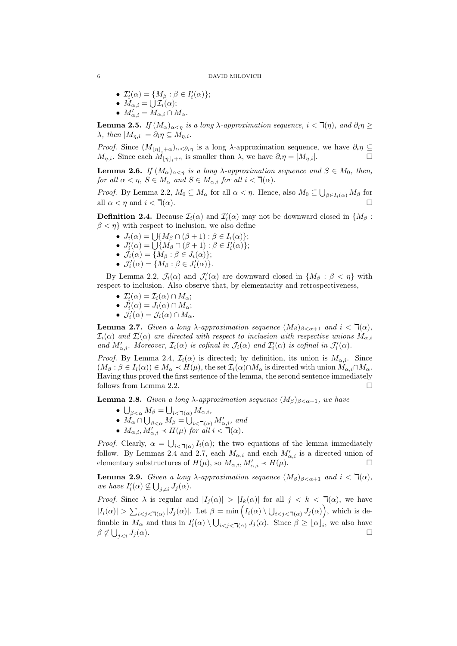- $\mathcal{I}'_i(\alpha) = \{M_\beta : \beta \in I'_i(\alpha)\};$
- $M_{\alpha,i} = \bigcup \mathcal{I}_i(\alpha);$
- $M'_{\alpha,i} = M_{\alpha,i} \cap M_{\alpha}.$

**Lemma 2.5.** If  $(M_\alpha)_{\alpha \leq \eta}$  is a long  $\lambda$ -approximation sequence,  $i < \mathcal{F}(\eta)$ , and  $\partial_i \eta \geq$  $\lambda$ , then  $|M_{n,i}| = \partial_i \eta \subseteq M_{n,i}$ .

*Proof.* Since  $(M_{|\eta|_i+\alpha})_{\alpha<\partial_i\eta}$  is a long  $\lambda$ -approximation sequence, we have  $\partial_i\eta \subseteq$  $M_{\eta,i}$ . Since each  $M_{|\eta|_{i}+\alpha}$  is smaller than  $\lambda$ , we have  $\partial_i \eta = |M_{\eta,i}|$ .

**Lemma 2.6.** If  $(M_\alpha)_{\alpha < \eta}$  is a long  $\lambda$ -approximation sequence and  $S \in M_0$ , then, for all  $\alpha < \eta$ ,  $S \in M_\alpha$  and  $S \in M_{\alpha,i}$  for all  $i < \mathcal{T}(\alpha)$ .

*Proof.* By Lemma 2.2,  $M_0 \subseteq M_\alpha$  for all  $\alpha < \eta$ . Hence, also  $M_0 \subseteq \bigcup_{\beta \in I_i(\alpha)} M_\beta$  for all  $\alpha < \eta$  and  $i < \mathcal{T}(\alpha)$ .

**Definition 2.4.** Because  $\mathcal{I}_i(\alpha)$  and  $\mathcal{I}'_i(\alpha)$  may not be downward closed in  $\{M_\beta :$  $\beta < \eta$ } with respect to inclusion, we also define

- $J_i(\alpha) = \bigcup \{ M_\beta \cap (\beta + 1) : \beta \in I_i(\alpha) \};$
- $J'_i(\alpha) = \bigcup \{ M_\beta \cap (\beta + 1) : \beta \in I'_i(\alpha) \};$
- $\mathcal{J}_i(\alpha) = \{M_\beta : \beta \in J_i(\alpha)\};$
- $\mathcal{J}'_i(\alpha) = \{M_\beta : \beta \in J'_i(\alpha)\}.$

By Lemma 2.2,  $\mathcal{J}_i(\alpha)$  and  $\mathcal{J}'_i(\alpha)$  are downward closed in  $\{M_\beta : \beta < \eta\}$  with respect to inclusion. Also observe that, by elementarity and retrospectiveness,

- $\mathcal{I}'_i(\alpha) = \mathcal{I}_i(\alpha) \cap M_\alpha;$
- $J_i'(\alpha) = J_i(\alpha) \cap M_\alpha;$
- $\mathcal{J}'_i(\alpha) = \mathcal{J}_i(\alpha) \cap M_\alpha$ .

**Lemma 2.7.** Given a long  $\lambda$ -approximation sequence  $(M_\beta)_{\beta < \alpha+1}$  and  $i < \mathcal{T}(\alpha)$ ,  $\mathcal{I}_i(\alpha)$  and  $\mathcal{I}'_i(\alpha)$  are directed with respect to inclusion with respective unions  $M_{\alpha,i}$ and  $M'_{\alpha,i}$ . Moreover,  $\mathcal{I}_i(\alpha)$  is cofinal in  $\mathcal{J}_i(\alpha)$  and  $\mathcal{I}'_i(\alpha)$  is cofinal in  $\mathcal{J}'_i(\alpha)$ .

*Proof.* By Lemma 2.4,  $\mathcal{I}_i(\alpha)$  is directed; by definition, its union is  $M_{\alpha,i}$ . Since  $(M_\beta : \beta \in I_i(\alpha)) \in M_\alpha \prec H(\mu)$ , the set  $\mathcal{I}_i(\alpha) \cap M_\alpha$  is directed with union  $M_{\alpha,i} \cap M_\alpha$ . Having thus proved the first sentence of the lemma, the second sentence immediately follows from Lemma 2.2.

**Lemma 2.8.** Given a long  $\lambda$ -approximation sequence  $(M_\beta)_{\beta < \alpha+1}$ , we have

- $\bigcup_{\beta<\alpha}M_{\beta}=\bigcup_{i<\mathbb{k}<\mathbb{k}}M_{\alpha,i},$
- $M_{\alpha} \cap \bigcup_{\beta < \alpha} M_{\beta} = \bigcup_{i < \sqcap(\alpha)} M'_{\alpha,i},$  and
- $M_{\alpha,i}, M'_{\alpha,i} \prec H(\mu)$  for all  $i < \mathcal{A}(\alpha)$ .

*Proof.* Clearly,  $\alpha = \bigcup_{i < \mathcal{I}(\alpha)} I_i(\alpha)$ ; the two equations of the lemma immediately follow. By Lemmas 2.4 and 2.7, each  $M_{\alpha,i}$  and each  $M'_{\alpha,i}$  is a directed union of elementary substructures of  $H(\mu)$ , so  $M_{\alpha,i}, M'_{\alpha,i} \prec H(\mu)$ .

**Lemma 2.9.** Given a long  $\lambda$ -approximation sequence  $(M_\beta)_{\beta < \alpha+1}$  and  $i < \mathcal{R}(\alpha)$ , we have  $I'_i(\alpha) \nsubseteq \bigcup_{j \neq i} J_j(\alpha)$ .

*Proof.* Since  $\lambda$  is regular and  $|I_i(\alpha)| > |I_k(\alpha)|$  for all  $j < k < \mathcal{T}(\alpha)$ , we have  $|I_i(\alpha)| > \sum_{i < j < \mathsf{T}(\alpha)} |J_j(\alpha)|$ . Let  $\beta = \min\left(I_i(\alpha) \setminus \bigcup_{i < j < \mathsf{T}(\alpha)} J_j(\alpha)\right)$ , which is definable in  $M_{\alpha}$  and thus in  $I'_i(\alpha) \setminus \bigcup_{i < j < \mathcal{A}(\alpha)} J_j(\alpha)$ . Since  $\beta \geq {\lfloor \alpha \rfloor}_i$ , we also have  $\beta \notin \bigcup$  $j < i$   $J_j(\alpha)$ .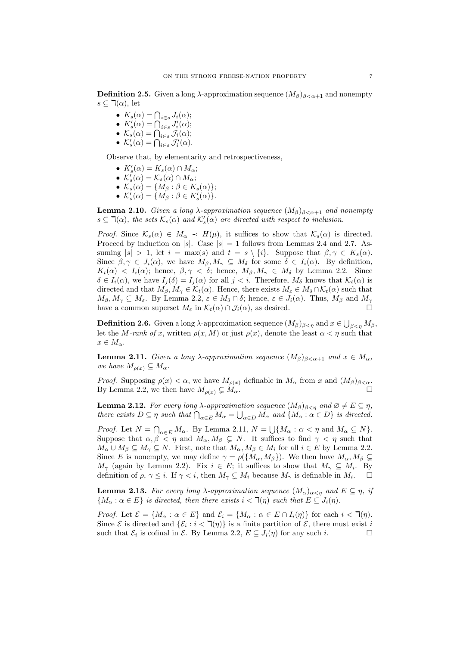**Definition 2.5.** Given a long  $\lambda$ -approximation sequence  $(M_\beta)_{\beta < \alpha+1}$  and nonempty  $s \subseteq \mathbb{I}(\alpha)$ , let

- $K_s(\alpha) = \bigcap_{i \in s} J_i(\alpha);$
- $K'_{s}(\alpha) = \bigcap_{i \in s} J'_{i}(\alpha);$
- $\mathcal{K}_s(\alpha) = \bigcap_{i \in s} \mathcal{J}_i(\alpha);$
- $\mathcal{K}'_s(\alpha) = \bigcap_{i \in s} \mathcal{J}'_i(\alpha).$

Observe that, by elementarity and retrospectiveness,

- $K'_{s}(\alpha) = K_{s}(\alpha) \cap M_{\alpha};$
- $\mathcal{K}'_s(\alpha) = \mathcal{K}_s(\alpha) \cap M_\alpha;$
- $\mathcal{K}_s(\alpha) = \{M_\beta : \beta \in K_s(\alpha)\};$
- $\mathcal{K}'_s(\alpha) = \{M_\beta : \beta \in K'_s(\alpha)\}.$

**Lemma 2.10.** Given a long  $\lambda$ -approximation sequence  $(M_\beta)_{\beta < \alpha+1}$  and nonempty  $s \subseteq \mathbb{I}(\alpha)$ , the sets  $\mathcal{K}_s(\alpha)$  and  $\mathcal{K}'_s(\alpha)$  are directed with respect to inclusion.

*Proof.* Since  $\mathcal{K}_s(\alpha) \in M_\alpha \prec H(\mu)$ , it suffices to show that  $\mathcal{K}_s(\alpha)$  is directed. Proceed by induction on |s|. Case  $|s| = 1$  follows from Lemmas 2.4 and 2.7. Assuming  $|s| > 1$ , let  $i = \max(s)$  and  $t = s \setminus \{i\}$ . Suppose that  $\beta, \gamma \in K_s(\alpha)$ . Since  $\beta, \gamma \in J_i(\alpha)$ , we have  $M_\beta, M_\gamma \subseteq M_\delta$  for some  $\delta \in I_i(\alpha)$ . By definition,  $K_t(\alpha) < I_i(\alpha)$ ; hence,  $\beta, \gamma < \delta$ ; hence,  $M_\beta, M_\gamma \in M_\delta$  by Lemma 2.2. Since  $\delta \in I_i(\alpha)$ , we have  $I_j(\delta) = I_j(\alpha)$  for all  $j < i$ . Therefore,  $M_\delta$  knows that  $\mathcal{K}_t(\alpha)$  is directed and that  $M_{\beta}, M_{\gamma} \in \mathcal{K}_t(\alpha)$ . Hence, there exists  $M_{\varepsilon} \in M_{\delta} \cap \mathcal{K}_t(\alpha)$  such that  $M_{\beta}, M_{\gamma} \subseteq M_{\varepsilon}$ . By Lemma 2.2,  $\varepsilon \in M_{\delta} \cap \delta$ ; hence,  $\varepsilon \in J_i(\alpha)$ . Thus,  $M_{\beta}$  and  $M_{\gamma}$ have a common superset  $M_{\varepsilon}$  in  $\mathcal{K}_t(\alpha) \cap \mathcal{J}_i(\alpha)$ , as desired.

**Definition 2.6.** Given a long  $\lambda$ -approximation sequence  $(M_\beta)_{\beta<\eta}$  and  $x\in\bigcup_{\beta<\eta}M_\beta,$ let the M-rank of x, written  $\rho(x, M)$  or just  $\rho(x)$ , denote the least  $\alpha < \eta$  such that  $x \in M_{\alpha}$ .

**Lemma 2.11.** Given a long  $\lambda$ -approximation sequence  $(M_\beta)_{\beta<\alpha+1}$  and  $x\in M_\alpha$ , we have  $M_{\rho(x)} \subseteq M_{\alpha}$ .

*Proof.* Supposing  $\rho(x) < \alpha$ , we have  $M_{\rho(x)}$  definable in  $M_{\alpha}$  from x and  $(M_{\beta})_{\beta < \alpha}$ . By Lemma 2.2, we then have  $M_{\rho(x)} \subsetneq M_{\alpha}$ .

**Lemma 2.12.** For every long  $\lambda$ -approximation sequence  $(M_\beta)_{\beta<\eta}$  and  $\emptyset \neq E \subseteq \eta$ , there exists  $D \subseteq \eta$  such that  $\bigcap_{\alpha \in E} M_{\alpha} = \bigcup_{\alpha \in D} M_{\alpha}$  and  $\{M_{\alpha} : \alpha \in D\}$  is directed.

*Proof.* Let  $N = \bigcap_{\alpha \in E} M_{\alpha}$ . By Lemma 2.11,  $N = \bigcup \{ M_{\alpha} : \alpha < \eta \text{ and } M_{\alpha} \subseteq N \}.$ Suppose that  $\alpha, \beta < \eta$  and  $M_{\alpha}, M_{\beta} \subsetneq N$ . It suffices to find  $\gamma < \eta$  such that  $M_{\alpha} \cup M_{\beta} \subseteq M_{\gamma} \subseteq N$ . First, note that  $M_{\alpha}, M_{\beta} \in M_i$  for all  $i \in E$  by Lemma 2.2. Since E is nonempty, we may define  $\gamma = \rho({M_\alpha, M_\beta})$ . We then have  $M_\alpha, M_\beta \subsetneq$  $M_{\gamma}$  (again by Lemma 2.2). Fix  $i \in E$ ; it suffices to show that  $M_{\gamma} \subseteq M_i$ . By definition of  $\rho, \gamma \leq i$ . If  $\gamma < i$ , then  $M_{\gamma} \subsetneq M_i$  because  $M_{\gamma}$  is definable in  $M_i$ . .

**Lemma 2.13.** For every long  $\lambda$ -approximation sequence  $(M_{\alpha})_{\alpha \leq \eta}$  and  $E \subseteq \eta$ , if  ${M_\alpha : \alpha \in E}$  is directed, then there exists  $i < \mathcal{A}(\eta)$  such that  $E \subseteq J_i(\eta)$ .

*Proof.* Let  $\mathcal{E} = \{M_{\alpha} : \alpha \in E\}$  and  $\mathcal{E}_i = \{M_{\alpha} : \alpha \in E \cap I_i(\eta)\}\$  for each  $i < \mathcal{A}(\eta)$ . Since  $\mathcal E$  is directed and  $\{\mathcal E_i : i < \mathbb I(\eta)\}$  is a finite partition of  $\mathcal E$ , there must exist i such that  $\mathcal{E}_i$  is cofinal in  $\mathcal{E}$ . By Lemma 2.2,  $E \subseteq J_i(\eta)$  for any such i.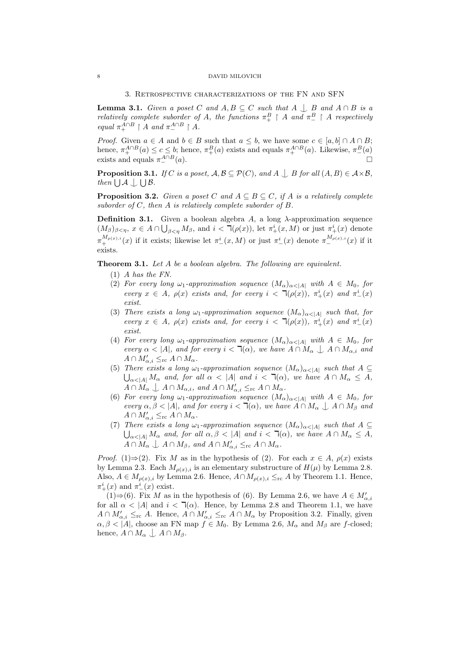#### 3. Retrospective characterizations of the FN and SFN

**Lemma 3.1.** Given a poset C and  $A, B \subseteq C$  such that  $A \cup B$  and  $A \cap B$  is a relatively complete suborder of A, the functions  $\pi_+^B \upharpoonright A$  and  $\pi_-^B \upharpoonright A$  respectively equal  $\pi_+^{A \cap B} \restriction A$  and  $\pi_-^{A \cap B} \restriction A$ .

*Proof.* Given  $a \in A$  and  $b \in B$  such that  $a \leq b$ , we have some  $c \in [a, b] \cap A \cap B$ ; hence,  $\pi_+^{A \cap B}(a) \le c \le b$ ; hence,  $\pi_+^B(a)$  exists and equals  $\pi_+^{A \cap B}(a)$ . Likewise,  $\pi_-^B(a)$ exists and equals  $\pi_-^{A \cap B}$  $A \cap B(a)$ .

**Proposition 3.1.** If C is a poset,  $A, B \subseteq \mathcal{P}(C)$ , and  $A \bigcup B$  for all  $(A, B) \in A \times B$ , then  $\bigcup \mathcal{A} \bigcup \bigcup \mathcal{B}$ .

**Proposition 3.2.** Given a poset C and  $A \subseteq B \subseteq C$ , if A is a relatively complete suborder of  $C$ , then  $A$  is relatively complete suborder of  $B$ .

**Definition 3.1.** Given a boolean algebra A, a long  $\lambda$ -approximation sequence  $(M_\beta)_{\beta<\eta}, x\in A\cap\bigcup_{\beta<\eta}M_\beta$ , and  $i<\overline{\mathfrak{I}}(\rho(x))$ , let  $\pi^i_+(x,M)$  or just  $\pi^i_+(x)$  denote  $\pi^{M_{\rho(x),i}}_+(x)$  if it exists; likewise let  $\pi^i_-(x,M)$  or just  $\pi^i_-(x)$  denote  $\pi^{M_{\rho(x),i}}_-(x)$  if it exists.

Theorem 3.1. Let A be a boolean algebra. The following are equivalent.

- $(1)$  A has the FN.
- (2) For every long  $\omega_1$ -approximation sequence  $(M_\alpha)_{\alpha<|A|}$  with  $A \in M_0$ , for every  $x \in A$ ,  $\rho(x)$  exists and, for every  $i < \mathcal{L}(\rho(x))$ ,  $\pi^i_+(x)$  and  $\pi^i_-(x)$ exist.
- (3) There exists a long  $\omega_1$ -approximation sequence  $(M_\alpha)_{\alpha<|A|}$  such that, for every  $x \in A$ ,  $\rho(x)$  exists and, for every  $i < \mathcal{L}(\rho(x))$ ,  $\pi^i_+(x)$  and  $\pi^i_-(x)$ exist.
- (4) For every long  $\omega_1$ -approximation sequence  $(M_\alpha)_{\alpha<|A|}$  with  $A \in M_0$ , for every  $\alpha < |A|$ , and for every  $i < \mathcal{A}(\alpha)$ , we have  $A \cap M_\alpha \downarrow A \cap M_{\alpha,i}$  and  $A \cap M'_{\alpha,i} \leq_{\rm rc} A \cap M_{\alpha}.$
- (5) There exists a long  $\omega_1$ -approximation sequence  $(M_\alpha)_{\alpha<|A|}$  such that  $A\subseteq$  $\bigcup_{\alpha<|A|} M_{\alpha}$  and, for all  $\alpha<|A|$  and  $i<\overline{\mathcal{A}}(\alpha)$ , we have  $A\cap M_{\alpha}\leq A$ ,  $A \cap M_{\alpha} \perp A \cap M_{\alpha,i}$ , and  $A \cap M'_{\alpha,i} \leq_{\rm rc} A \cap M_{\alpha}$ .
- (6) For every long  $\omega_1$ -approximation sequence  $(M_\alpha)_{\alpha<|A|}$  with  $A \in M_0$ , for every  $\alpha, \beta < |A|$ , and for every  $i < \mathcal{A}(\alpha)$ , we have  $A \cap M_\alpha \downarrow A \cap M_\beta$  and  $A \cap M'_{\alpha,i} \leq_{\rm rc} A \cap M_\alpha.$
- (7) There exists a long  $\omega_1$ -approximation sequence  $(M_\alpha)_{\alpha<|A|}$  such that  $A \subseteq$  $\bigcup_{\alpha<|A|} M_{\alpha}$  and, for all  $\alpha, \beta < |A|$  and  $i < \mathcal{T}(\alpha)$ , we have  $A \cap M_{\alpha} \leq A$ ,  $A \cap M_{\alpha} \perp A \cap M_{\beta}$ , and  $A \cap M'_{\alpha,i} \leq_{\text{rc}} A \cap M_{\alpha}$ .

*Proof.* (1)⇒(2). Fix M as in the hypothesis of (2). For each  $x \in A$ ,  $\rho(x)$  exists by Lemma 2.3. Each  $M_{\rho(x),i}$  is an elementary substructure of  $H(\mu)$  by Lemma 2.8. Also,  $A \in M_{\rho(x),i}$  by Lemma 2.6. Hence,  $A \cap M_{\rho(x),i} \leq_{\text{rc}} A$  by Theorem 1.1. Hence,  $\pi^i_+(x)$  and  $\pi^i_-(x)$  exist.

(1)⇒(6). Fix M as in the hypothesis of (6). By Lemma 2.6, we have  $A \in M'_{\alpha,i}$ for all  $\alpha$  < |A| and  $i$  <  $\mathcal{T}(\alpha)$ . Hence, by Lemma 2.8 and Theorem 1.1, we have  $A \cap M'_{\alpha,i} \leq_{\rm rc} A$ . Hence,  $A \cap M'_{\alpha,i} \leq_{\rm rc} A \cap M_{\alpha}$  by Proposition 3.2. Finally, given  $\alpha, \beta < |A|$ , choose an FN map  $f \in M_0$ . By Lemma 2.6,  $M_\alpha$  and  $M_\beta$  are f-closed; hence,  $A \cap M_{\alpha} \bigcup A \cap M_{\beta}$ .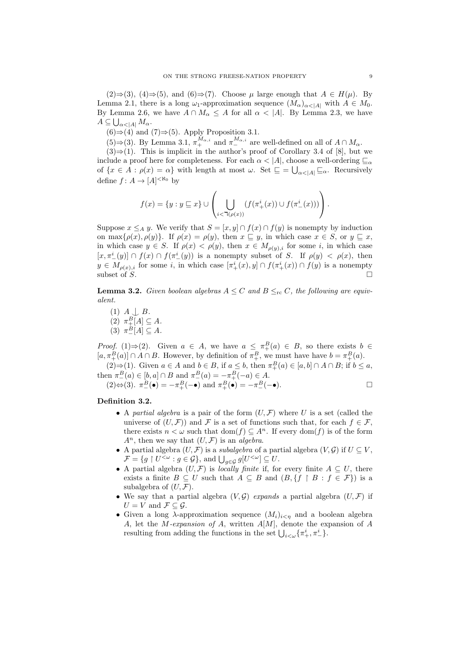$(2) \Rightarrow (3)$ ,  $(4) \Rightarrow (5)$ , and  $(6) \Rightarrow (7)$ . Choose  $\mu$  large enough that  $A \in H(\mu)$ . By Lemma 2.1, there is a long  $\omega_1$ -approximation sequence  $(M_\alpha)_{\alpha<|A|}$  with  $A \in M_0$ . By Lemma 2.6, we have  $A \cap M_{\alpha} \leq A$  for all  $\alpha < |A|$ . By Lemma 2.3, we have  $A\subseteq\bigcup_{\alpha<|A|}M_{\alpha}.$ 

 $(6) \Rightarrow (4)$  and  $(7) \Rightarrow (5)$ . Apply Proposition 3.1.

(5)⇒(3). By Lemma 3.1,  $\pi_+^{M_{\alpha,i}}$  and  $\pi_-^{M_{\alpha,i}}$  are well-defined on all of  $A \cap M_{\alpha}$ .

 $(3) \Rightarrow (1)$ . This is implicit in the author's proof of Corollary 3.4 of [8], but we include a proof here for completeness. For each  $\alpha < |A|$ , choose a well-ordering  $\sqsubseteq_{\alpha}$ of  $\{x \in A : \rho(x) = \alpha\}$  with length at most  $\omega$ . Set  $\subseteq = \bigcup_{\alpha < |A|} \sqsubseteq_{\alpha}$ . Recursively define  $f: A \to [A]^{<\aleph_0}$  by

$$
f(x) = \{y : y \sqsubseteq x\} \cup \left(\bigcup_{i < \mathsf{T}(\rho(x))} (f(\pi^i_+(x)) \cup f(\pi^i_-(x)))\right).
$$

Suppose  $x \leq_A y$ . We verify that  $S = [x, y] \cap f(x) \cap f(y)$  is nonempty by induction on max $\{\rho(x), \rho(y)\}\$ . If  $\rho(x) = \rho(y)$ , then  $x \subseteq y$ , in which case  $x \in S$ , or  $y \subseteq x$ , in which case  $y \in S$ . If  $\rho(x) < \rho(y)$ , then  $x \in M_{\rho(y),i}$  for some i, in which case  $[x, \pi^i_-(y)] \cap f(x) \cap f(\pi^i_-(y))$  is a nonempty subset of S. If  $\rho(y) < \rho(x)$ , then  $y \in M_{\rho(x),i}$  for some i, in which case  $[\pi^i_+(x),y] \cap f(\pi^i_+(x)) \cap f(y)$  is a nonempty subset of  $S$ .

**Lemma 3.2.** Given boolean algebras  $A \leq C$  and  $B \leq_{rc} C$ , the following are equivalent.

 $(1)$   $A \downarrow B$ . (2)  $\pi^B_+[A] \subseteq A$ . (3)  $\pi_-^B[A] \subseteq A$ .

*Proof.* (1)⇒(2). Given  $a \in A$ , we have  $a \leq \pi^B_+(a) \in B$ , so there exists  $b \in A$  $[a, \pi_+^B(a)] \cap A \cap B$ . However, by definition of  $\pi_+^B$ , we must have have  $b = \pi_+^B(a)$ .

(2)⇒(1). Given  $a \in A$  and  $b \in B$ , if  $a \leq b$ , then  $\pi_+^B(a) \in [a, b] \cap A \cap B$ ; if  $b \leq a$ , then  $\pi_{-}^{B}(a) \in [b, a] \cap B$  and  $\pi_{-}^{B}(a) = -\pi_{+}^{B}(-a) \in A$ .

 $(2) \Leftrightarrow (3). \ \pi_-^B(\bullet) = -\pi_+^B(-\bullet) \text{ and } \pi_+^B(\bullet) = -\pi_-^B(-\bullet).$ 

## Definition 3.2.

- A partial algebra is a pair of the form  $(U, \mathcal{F})$  where U is a set (called the universe of  $(U, \mathcal{F})$  and F is a set of functions such that, for each  $f \in \mathcal{F}$ . there exists  $n < \omega$  such that  $dom(f) \subseteq A^n$ . If every  $dom(f)$  is of the form  $A^n$ , then we say that  $(U, \mathcal{F})$  is an *algebra*.
- A partial algebra  $(U, \mathcal{F})$  is a *subalgebra* of a partial algebra  $(V, \mathcal{G})$  if  $U \subseteq V$ ,  $\mathcal{F} = \{ g \restriction U^{\leq \omega} : g \in \mathcal{G} \}, \text{ and } \bigcup_{g \in \mathcal{G}} g[U^{\leq \omega}] \subseteq U.$
- A partial algebra  $(U, \mathcal{F})$  is locally finite if, for every finite  $A \subseteq U$ , there exists a finite  $B \subseteq U$  such that  $A \subseteq B$  and  $(B, \{f \restriction B : f \in \mathcal{F}\})$  is a subalgebra of  $(U, \mathcal{F})$ .
- We say that a partial algebra  $(V, \mathcal{G})$  expands a partial algebra  $(U, \mathcal{F})$  if  $U = V$  and  $\mathcal{F} \subseteq \mathcal{G}$ .
- Given a long  $\lambda$ -approximation sequence  $(M_i)_{i \leq \eta}$  and a boolean algebra A, let the  $M$ -expansion of A, written  $A[M]$ , denote the expansion of A resulting from adding the functions in the set  $\bigcup_{i<\omega} {\{\pi_+^i, \pi_-^i\}}$ .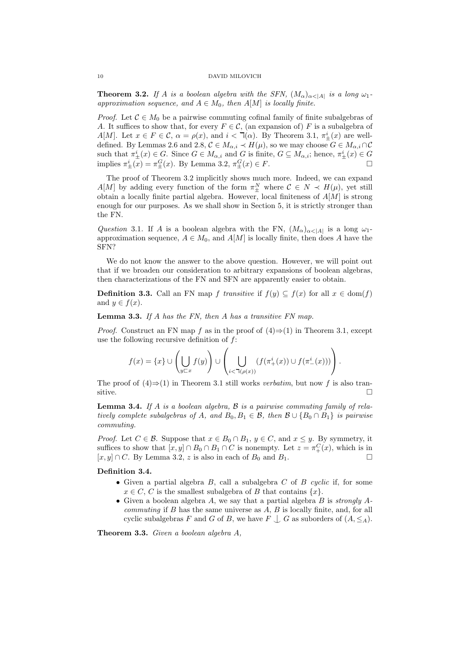**Theorem 3.2.** If A is a boolean algebra with the SFN,  $(M_{\alpha})_{\alpha<|A|}$  is a long  $\omega_1$ . approximation sequence, and  $A \in M_0$ , then  $A[M]$  is locally finite.

*Proof.* Let  $\mathcal{C} \in M_0$  be a pairwise commuting cofinal family of finite subalgebras of A. It suffices to show that, for every  $F \in \mathcal{C}$ , (an expansion of) F is a subalgebra of  $A[M]$ . Let  $x \in F \in \mathcal{C}$ ,  $\alpha = \rho(x)$ , and  $i < \mathcal{T}(\alpha)$ . By Theorem 3.1,  $\pi^i_{\pm}(x)$  are welldefined. By Lemmas 2.6 and 2.8,  $C \in M_{\alpha,i} \prec H(\mu)$ , so we may choose  $G \in M_{\alpha,i} \cap C$ such that  $\pi^i_{\pm}(x) \in G$ . Since  $G \in M_{\alpha,i}$  and G is finite,  $G \subseteq M_{\alpha,i}$ ; hence,  $\pi^i_{\pm}(x) \in G$ implies  $\pi^i_{\pm}(x) = \pi^G_{\pm}(x)$ . By Lemma 3.2,  $\pi^G_{\pm}(x) \in F$ .

The proof of Theorem 3.2 implicitly shows much more. Indeed, we can expand  $A[M]$  by adding every function of the form  $\pi_{\pm}^{N}$  where  $C \in N \prec H(\mu)$ , yet still obtain a locally finite partial algebra. However, local finiteness of  $A[M]$  is strong enough for our purposes. As we shall show in Section 5, it is strictly stronger than the FN.

Question 3.1. If A is a boolean algebra with the FN,  $(M_{\alpha})_{\alpha<|A|}$  is a long  $\omega_1$ approximation sequence,  $A \in M_0$ , and  $A[M]$  is locally finite, then does A have the SFN?

We do not know the answer to the above question. However, we will point out that if we broaden our consideration to arbitrary expansions of boolean algebras, then characterizations of the FN and SFN are apparently easier to obtain.

**Definition 3.3.** Call an FN map f transitive if  $f(y) \subseteq f(x)$  for all  $x \in \text{dom}(f)$ and  $y \in f(x)$ .

Lemma 3.3. If A has the FN, then A has a transitive FN map.

*Proof.* Construct an FN map f as in the proof of  $(4) \Rightarrow (1)$  in Theorem 3.1, except use the following recursive definition of  $f$ :

$$
f(x) = \{x\} \cup \left(\bigcup_{y \sqsubset x} f(y)\right) \cup \left(\bigcup_{i < \mathsf{T}(\rho(x))} (f(\pi^i_+(x)) \cup f(\pi^i_-(x)))\right).
$$

The proof of  $(4) \Rightarrow (1)$  in Theorem 3.1 still works *verbatim*, but now f is also tran- $\Box$ 

**Lemma 3.4.** If A is a boolean algebra,  $\beta$  is a pairwise commuting family of relatively complete subalgebras of A, and  $B_0, B_1 \in \mathcal{B}$ , then  $\mathcal{B} \cup \{B_0 \cap B_1\}$  is pairwise commuting.

*Proof.* Let  $C \in \mathcal{B}$ . Suppose that  $x \in B_0 \cap B_1$ ,  $y \in C$ , and  $x \leq y$ . By symmetry, it suffices to show that  $[x, y] \cap B_0 \cap B_1 \cap C$  is nonempty. Let  $z = \pi_+^C(x)$ , which is in  $[x, y] \cap C$ . By Lemma 3.2, z is also in each of  $B_0$  and  $B_1$ .

## Definition 3.4.

- Given a partial algebra  $B$ , call a subalgebra  $C$  of  $B$  cyclic if, for some  $x \in C$ , C is the smallest subalgebra of B that contains  $\{x\}$ .
- Given a boolean algebra  $A$ , we say that a partial algebra  $B$  is strongly  $A$ *commuting* if B has the same universe as  $A, B$  is locally finite, and, for all cyclic subalgebras F and G of B, we have  $F \cup G$  as suborders of  $(A, \leq_A)$ .

Theorem 3.3. Given a boolean algebra A,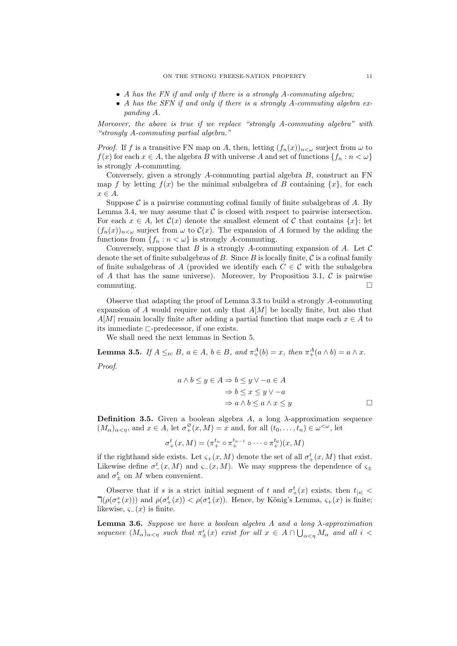- A has the FN if and only if there is a strongly A-commuting algebra;
- A has the SFN if and only if there is a strongly A-commuting algebra expanding A.

Moreover, the above is true if we replace "strongly A-commuting algebra" with "strongly A-commuting partial algebra."

*Proof.* If f is a transitive FN map on A, then, letting  $(f_n(x))_{n\leq\omega}$  surject from  $\omega$  to  $f(x)$  for each  $x \in A$ , the algebra B with universe A and set of functions  $\{f_n : n < \omega\}$ is strongly A-commuting.

Conversely, given a strongly A-commuting partial algebra B, construct an FN map f by letting  $f(x)$  be the minimal subalgebra of B containing  $\{x\}$ , for each  $x \in A$ .

Suppose  $\mathcal C$  is a pairwise commuting cofinal family of finite subalgebras of  $A$ . By Lemma 3.4, we may assume that  $\mathcal C$  is closed with respect to pairwise intersection. For each  $x \in A$ , let  $\mathcal{C}(x)$  denote the smallest element of C that contains  $\{x\}$ ; let  $(f_n(x))_{n\leq\omega}$  surject from  $\omega$  to  $\mathcal{C}(x)$ . The expansion of A formed by the adding the functions from  $\{f_n : n < \omega\}$  is strongly A-commuting.

Conversely, suppose that  $B$  is a strongly A-commuting expansion of A. Let  $\mathcal C$ denote the set of finite subalgebras of  $B$ . Since  $B$  is locally finite,  $C$  is a cofinal family of finite subalgebras of A (provided we identify each  $C \in \mathcal{C}$  with the subalgebra of A that has the same universe). Moreover, by Proposition 3.1,  $\mathcal C$  is pairwise  $\Box$ commuting.

Observe that adapting the proof of Lemma 3.3 to build a strongly A-commuting expansion of A would require not only that  $A[M]$  be locally finite, but also that  $A[M]$  remain locally finite after adding a partial function that maps each  $x \in A$  to its immediate  $\sqsubset$ -predecessor, if one exists.

We shall need the next lemmas in Section 5.

**Lemma 3.5.** If  $A \leq_{\text{rc}} B$ ,  $a \in A$ ,  $b \in B$ , and  $\pi^A_+(b) = x$ , then  $\pi^A_+(a \wedge b) = a \wedge x$ . Proof.

$$
a \land b \le y \in A \Rightarrow b \le y \lor -a \in A
$$
  
\n
$$
\Rightarrow b \le x \le y \lor -a
$$
  
\n
$$
\Rightarrow a \land b \le a \land x \le y
$$

**Definition 3.5.** Given a boolean algebra A, a long  $\lambda$ -approximation sequence  $(M_{\alpha})_{\alpha<\eta}$ , and  $x \in A$ , let  $\sigma^{\varnothing}_{+}(x,M) = x$  and, for all  $(t_0,\ldots,t_n) \in \omega^{<\omega}$ , let

$$
\sigma_+^t(x,M) = (\pi_+^{t_n} \circ \pi_+^{t_{n-1}} \circ \cdots \circ \pi_+^{t_0})(x,M)
$$

if the righthand side exists. Let  $\varsigma_+(x,M)$  denote the set of all  $\sigma_+^t(x,M)$  that exist. Likewise define  $\sigma^t_-(x,M)$  and  $\varsigma_-(x,M)$ . We may suppress the dependence of  $\varsigma_{\pm}$ and  $\sigma_{\pm}^{t}$  on M when convenient.

Observe that if s is a strict initial segment of t and  $\sigma^t_+(x)$  exists, then  $t_{|s|}$  <  $\mathcal{L}(\rho(\sigma^s_+(x)))$  and  $\rho(\sigma^t_+(x)) < \rho(\sigma^s_+(x))$ . Hence, by König's Lemma,  $\varsigma_+(x)$  is finite; likewise,  $\varsigma_-(x)$  is finite.

**Lemma 3.6.** Suppose we have a boolean algebra A and a long  $\lambda$ -approximation sequence  $(M_\alpha)_{\alpha<\eta}$  such that  $\pi^i_{\pm}(x)$  exist for all  $x \in A \cap \bigcup_{\alpha<\eta} M_\alpha$  and all  $i <$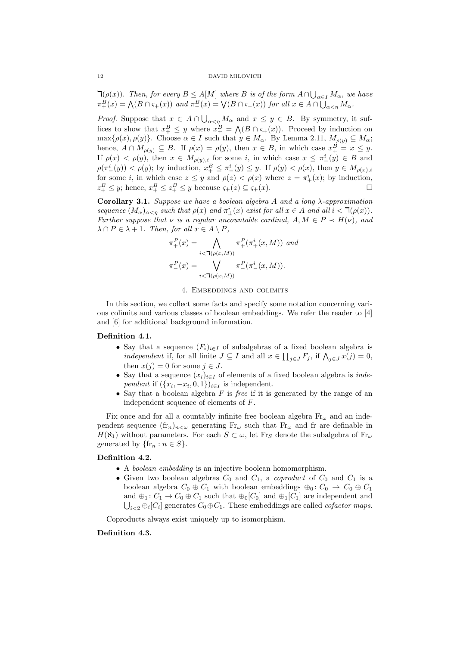$\mathcal{A}(\rho(x))$ . Then, for every  $B \leq A[M]$  where B is of the form  $A \cap \bigcup_{\alpha \in I} M_\alpha$ , we have  $\pi_+^B(x) = \bigwedge (B \cap \varsigma_+(x))$  and  $\pi_-^B(x) = \bigvee (B \cap \varsigma_-(x))$  for all  $x \in A \cap \bigcup_{\alpha < \eta} M_\alpha$ .

*Proof.* Suppose that  $x \in A \cap \bigcup_{\alpha \leq \eta} M_{\alpha}$  and  $x \leq y \in B$ . By symmetry, it suffices to show that  $x_+^B \leq y$  where  $x_+^B = \bigwedge (B \cap \varsigma_+(x))$ . Proceed by induction on  $\max\{\rho(x), \rho(y)\}\)$ . Choose  $\alpha \in I$  such that  $y \in M_\alpha$ . By Lemma 2.11,  $M_{\rho(y)} \subseteq M_\alpha$ ; hence,  $A \cap M_{\rho(y)} \subseteq B$ . If  $\rho(x) = \rho(y)$ , then  $x \in B$ , in which case  $x_+^B = x \leq y$ . If  $\rho(x) < \rho(y)$ , then  $x \in M_{\rho(y),i}$  for some i, in which case  $x \leq \pi^i_-(y) \in B$  and  $\rho(\pi^i_-(y)) < \rho(y)$ ; by induction,  $x^B_+ \leq \pi^i_-(y) \leq y$ . If  $\rho(y) < \rho(x)$ , then  $y \in M_{\rho(x),i}$ for some *i*, in which case  $z \leq y$  and  $\rho(z) < \rho(x)$  where  $z = \pi^i_+(x)$ ; by induction,  $z_+^B \leq y$ ; hence,  $x_+^B \leq z_+^B \leq y$  because  $\varsigma_+(z) \subseteq \varsigma_+(x)$ .

Corollary 3.1. Suppose we have a boolean algebra A and a long  $\lambda$ -approximation sequence  $(M_{\alpha})_{\alpha<\eta}$  such that  $\rho(x)$  and  $\pi_{\pm}^{i}(x)$  exist for all  $x \in A$  and all  $i < \mathcal{L}(\rho(x))$ . Further suppose that  $\nu$  is a regular uncountable cardinal,  $A, M \in P \prec H(\nu)$ , and  $\lambda \cap P \in \lambda + 1$ . Then, for all  $x \in A \setminus P$ ,

$$
\pi_{+}^{P}(x) = \bigwedge_{i < \mathsf{T}(\rho(x,M))} \pi_{+}^{P}(\pi_{+}^{i}(x,M)) \text{ and}
$$

$$
\pi_{-}^{P}(x) = \bigvee_{i < \mathsf{T}(\rho(x,M))} \pi_{-}^{P}(\pi_{-}^{i}(x,M)).
$$

### 4. Embeddings and colimits

In this section, we collect some facts and specify some notation concerning various colimits and various classes of boolean embeddings. We refer the reader to [4] and [6] for additional background information.

## Definition 4.1.

- Say that a sequence  $(F_i)_{i\in I}$  of subalgebras of a fixed boolean algebra is *independent* if, for all finite  $J \subseteq I$  and all  $x \in \prod_{j \in J} F_j$ , if  $\bigwedge_{j \in J} x(j) = 0$ , then  $x(j) = 0$  for some  $j \in J$ .
- Say that a sequence  $(x_i)_{i\in I}$  of elements of a fixed boolean algebra is *inde*pendent if  $({x_i, -x_i, 0, 1})_{i \in I}$  is independent.
- Say that a boolean algebra  $F$  is *free* if it is generated by the range of an independent sequence of elements of F.

Fix once and for all a countably infinite free boolean algebra  $Fr_{\omega}$  and an independent sequence  $(\text{fr}_n)_{n<\omega}$  generating  $\text{Fr}_\omega$  such that  $\text{Fr}_\omega$  and fr are definable in  $H(\aleph_1)$  without parameters. For each  $S \subset \omega$ , let Fr<sub>S</sub> denote the subalgebra of Fr<sub>ω</sub> generated by  $\{\text{fr}_n : n \in S\}.$ 

## Definition 4.2.

- A boolean embedding is an injective boolean homomorphism.
- Given two boolean algebras  $C_0$  and  $C_1$ , a *coproduct* of  $C_0$  and  $C_1$  is a boolean algebra  $C_0 \oplus C_1$  with boolean embeddings  $\oplus_0: C_0 \to C_0 \oplus C_1$ and  $\oplus_1$ :  $C_1 \rightarrow C_0 \oplus C_1$  such that  $\oplus_0 [C_0]$  and  $\oplus_1 [C_1]$  are independent and  $\bigcup_{i\leq 2} \bigoplus_i [C_i]$  generates  $C_0 \oplus C_1$ . These embeddings are called *cofactor maps*.

Coproducts always exist uniquely up to isomorphism.

## Definition 4.3.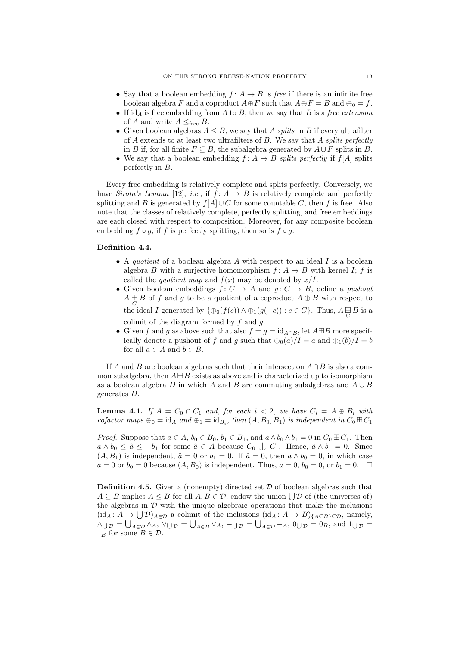- Say that a boolean embedding  $f: A \rightarrow B$  is free if there is an infinite free boolean algebra F and a coproduct  $A \oplus F$  such that  $A \oplus F = B$  and  $\oplus_0 = f$ .
- If  $id_A$  is free embedding from A to B, then we say that B is a free extension of A and write  $A \leq_{\text{free}} B$ .
- Given boolean algebras  $A \leq B$ , we say that A splits in B if every ultrafilter of  $A$  extends to at least two ultrafilters of  $B$ . We say that  $A$  splits perfectly in B if, for all finite  $F \subseteq B$ , the subalgebra generated by  $A \cup F$  splits in B.
- We say that a boolean embedding  $f: A \rightarrow B$  splits perfectly if  $f[A]$  splits perfectly in B.

Every free embedding is relatively complete and splits perfectly. Conversely, we have Sirota's Lemma [12], i.e., if  $f: A \rightarrow B$  is relatively complete and perfectly splitting and B is generated by  $f[A] \cup C$  for some countable C, then f is free. Also note that the classes of relatively complete, perfectly splitting, and free embeddings are each closed with respect to composition. Moreover, for any composite boolean embedding  $f \circ g$ , if f is perfectly splitting, then so is  $f \circ g$ .

# Definition 4.4.

- A *quotient* of a boolean algebra  $A$  with respect to an ideal  $I$  is a boolean algebra B with a surjective homomorphism  $f: A \rightarrow B$  with kernel I; f is called the *quotient map* and  $f(x)$  may be denoted by  $x/I$ .
- Given boolean embeddings  $f: C \rightarrow A$  and  $g: C \rightarrow B$ , define a *pushout*  $A\mathop\boxplus\limits_C B$  of  $f$  and  $g$  to be a quotient of a coproduct  $A\oplus B$  with respect to the ideal I generated by  $\{\oplus_0(f(c)) \wedge \oplus_1(g(-c)) : c \in C\}$ . Thus,  $A \underset{C}{\boxplus} B$  is a colimit of the diagram formed by  $f$  and  $g$ .
- Given f and g as above such that also  $f = g = id_{A \cap B}$ , let  $A \boxplus B$  more specifically denote a pushout of f and g such that  $\bigoplus_{n=0}^{\infty} (a)/I = a$  and  $\bigoplus_{n=1}^{\infty} (b)/I = b$ for all  $a \in A$  and  $b \in B$ .

If A and B are boolean algebras such that their intersection  $A \cap B$  is also a common subalgebra, then  $A \boxplus B$  exists as above and is characterized up to isomorphism as a boolean algebra D in which A and B are commuting subalgebras and  $A \cup B$ generates D.

**Lemma 4.1.** If  $A = C_0 \cap C_1$  and, for each  $i < 2$ , we have  $C_i = A \oplus B_i$  with cofactor maps  $\oplus_0 = id_A$  and  $\oplus_1 = id_{B_i}$ , then  $(A, B_0, B_1)$  is independent in  $C_0 \boxplus C_1$ 

*Proof.* Suppose that  $a \in A$ ,  $b_0 \in B_0$ ,  $b_1 \in B_1$ , and  $a \wedge b_0 \wedge b_1 = 0$  in  $C_0 \boxplus C_1$ . Then  $a \wedge b_0 \leq \hat{a} \leq -b_1$  for some  $\hat{a} \in A$  because  $C_0 \downarrow C_1$ . Hence,  $\hat{a} \wedge b_1 = 0$ . Since  $(A, B_1)$  is independent,  $\hat{a} = 0$  or  $b_1 = 0$ . If  $\hat{a} = 0$ , then  $a \wedge b_0 = 0$ , in which case  $a = 0$  or  $b_0 = 0$  because  $(A, B_0)$  is independent. Thus,  $a = 0$ ,  $b_0 = 0$ , or  $b_1 = 0$ .  $\Box$ 

**Definition 4.5.** Given a (nonempty) directed set  $D$  of boolean algebras such that  $A \subseteq B$  implies  $A \leq B$  for all  $A, B \in \mathcal{D}$ , endow the union  $\bigcup \mathcal{D}$  of (the universes of) the algebras in  $\mathcal D$  with the unique algebraic operations that make the inclusions  $(id_A: A \to \bigcup \mathcal{D})_{A \in \mathcal{D}}$  a colimit of the inclusions  $(id_A: A \to B)_{\{A \subseteq B\} \subseteq \mathcal{D}}$ , namely,  $\wedge_{\bigcup \mathcal{D}} = \bigcup_{A \in \mathcal{D}} \wedge_A$ ,  $\vee_{\bigcup \mathcal{D}} = \bigcup_{A \in \mathcal{D}} \vee_A$ ,  $-\bigcup_{\mathcal{D}} = \bigcup_{A \in \mathcal{D}} -_A$ ,  $0_{\bigcup \mathcal{D}} = 0_B$ , and  $1_{\bigcup \mathcal{D}} = 0$  $1_B$  for some  $B \in \mathcal{D}$ .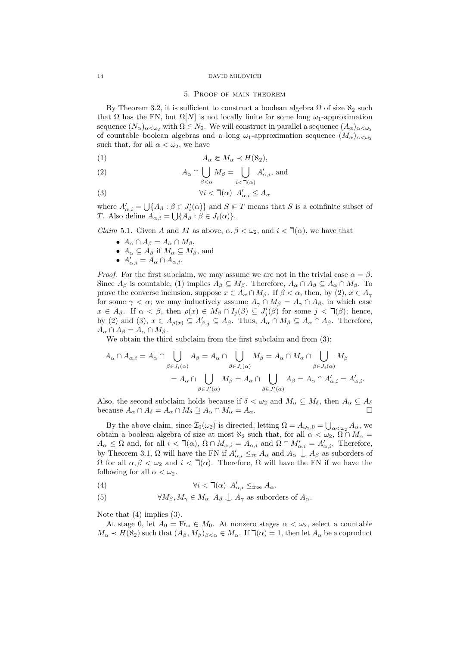#### 5. Proof of main theorem

By Theorem 3.2, it is sufficient to construct a boolean algebra  $\Omega$  of size  $\aleph_2$  such that  $\Omega$  has the FN, but  $\Omega[N]$  is not locally finite for some long  $\omega_1$ -approximation sequence  $(N_\alpha)_{\alpha<\omega_2}$  with  $\Omega\in N_0$ . We will construct in parallel a sequence  $(A_\alpha)_{\alpha<\omega_2}$ of countable boolean algebras and a long  $\omega_1$ -approximation sequence  $(M_\alpha)_{\alpha<\omega_2}$ such that, for all  $\alpha < \omega_2$ , we have

$$
(1) \t\t A_{\alpha} \in M_{\alpha} \prec H(\aleph_2),
$$

(2) 
$$
A_{\alpha} \cap \bigcup_{\beta < \alpha} M_{\beta} = \bigcup_{i < \mathfrak{I}(\alpha)} A'_{\alpha,i}, \text{ and}
$$

(3) 
$$
\forall i < \mathbb{I}(\alpha) \ \ A'_{\alpha,i} \leq A_{\alpha}
$$

where  $A'_{\alpha,i} = \bigcup \{A_\beta : \beta \in J'_i(\alpha)\}\$ and  $S \subseteq T$  means that S is a coinfinite subset of T. Also define  $A_{\alpha,i} = \bigcup \{ A_{\beta} : \beta \in J_i(\alpha) \}.$ 

*Claim* 5.1. Given A and M as above,  $\alpha, \beta < \omega_2$ , and  $i < \mathcal{T}(\alpha)$ , we have that

- $A_{\alpha} \cap A_{\beta} = A_{\alpha} \cap M_{\beta}$ ,
- $A_{\alpha} \subseteq A_{\beta}$  if  $M_{\alpha} \subseteq M_{\beta}$ , and
- $A'_{\alpha,i} = A_{\alpha} \cap A_{\alpha,i}.$

*Proof.* For the first subclaim, we may assume we are not in the trivial case  $\alpha = \beta$ . Since  $A_\beta$  is countable, (1) implies  $A_\beta \subseteq M_\beta$ . Therefore,  $A_\alpha \cap A_\beta \subseteq A_\alpha \cap M_\beta$ . To prove the converse inclusion, suppose  $x \in A_\alpha \cap M_\beta$ . If  $\beta < \alpha$ , then, by (2),  $x \in A_\gamma$ for some  $\gamma < \alpha$ ; we may inductively assume  $A_{\gamma} \cap M_{\beta} = A_{\gamma} \cap A_{\beta}$ , in which case  $x \in A_{\beta}$ . If  $\alpha < \beta$ , then  $\rho(x) \in M_{\beta} \cap I_j(\beta) \subseteq J'_j(\beta)$  for some  $j < \mathcal{T}(\beta)$ ; hence, by (2) and (3),  $x \in A_{\rho(x)} \subseteq A'_{\beta,j} \subseteq A_{\beta}$ . Thus,  $\check{A_{\alpha}} \cap M_{\beta} \subseteq A_{\alpha} \cap A_{\beta}$ . Therefore,  $A_{\alpha} \cap A_{\beta} = A_{\alpha} \cap M_{\beta}.$ 

We obtain the third subclaim from the first subclaim and from  $(3)$ :

$$
A_{\alpha} \cap A_{\alpha,i} = A_{\alpha} \cap \bigcup_{\beta \in J_i(\alpha)} A_{\beta} = A_{\alpha} \cap \bigcup_{\beta \in J_i(\alpha)} M_{\beta} = A_{\alpha} \cap M_{\alpha} \cap \bigcup_{\beta \in J_i(\alpha)} M_{\beta}
$$

$$
= A_{\alpha} \cap \bigcup_{\beta \in J'_i(\alpha)} M_{\beta} = A_{\alpha} \cap \bigcup_{\beta \in J'_i(\alpha)} A_{\beta} = A_{\alpha} \cap A'_{\alpha,i} = A'_{\alpha,i}.
$$

Also, the second subclaim holds because if  $\delta < \omega_2$  and  $M_\alpha \subseteq M_\delta$ , then  $A_\alpha \subseteq A_\delta$ because  $A_{\alpha} \cap A_{\delta} = A_{\alpha} \cap M_{\delta} \supseteq A_{\alpha} \cap M_{\alpha} = A_{\alpha}$ .

By the above claim, since  $\mathcal{I}_0(\omega_2)$  is directed, letting  $\Omega = A_{\omega_2,0} = \bigcup_{\alpha<\omega_2} A_{\alpha}$ , we obtain a boolean algebra of size at most  $\aleph_2$  such that, for all  $\alpha < \omega_2$ ,  $\Omega \cap M_{\alpha}$  $A_{\alpha} \leq \Omega$  and, for all  $i < \mathcal{A}(\alpha)$ ,  $\Omega \cap M_{\alpha,i} = A_{\alpha,i}$  and  $\Omega \cap M_{\alpha,i}' = A_{\alpha,i}'$ . Therefore, by Theorem 3.1,  $\Omega$  will have the FN if  $A'_{\alpha,i} \leq_{\text{rc}} A_{\alpha}$  and  $A_{\alpha} \perp A_{\beta}$  as suborders of  $Ω$  for all  $α, β < ω_2$  and  $i < \mathcal{r}(α)$ . Therefore,  $Ω$  will have the FN if we have the following for all  $\alpha < \omega_2$ .

(4) 
$$
\forall i < \mathbb{k} \, (\alpha) \, A'_{\alpha,i} \leq_{\text{free}} A_{\alpha}.
$$

(5) 
$$
\forall M_{\beta}, M_{\gamma} \in M_{\alpha} \ A_{\beta} \ \perp A_{\gamma} \ \text{as suborders of } A_{\alpha}.
$$

Note that (4) implies (3).

At stage 0, let  $A_0 = Fr_\omega \in M_0$ . At nonzero stages  $\alpha < \omega_2$ , select a countable  $M_{\alpha} \prec H(\aleph_2)$  such that  $(A_{\beta}, M_{\beta})_{\beta < \alpha} \in M_{\alpha}$ . If  $\daleth(\alpha) = 1$ , then let  $A_{\alpha}$  be a coproduct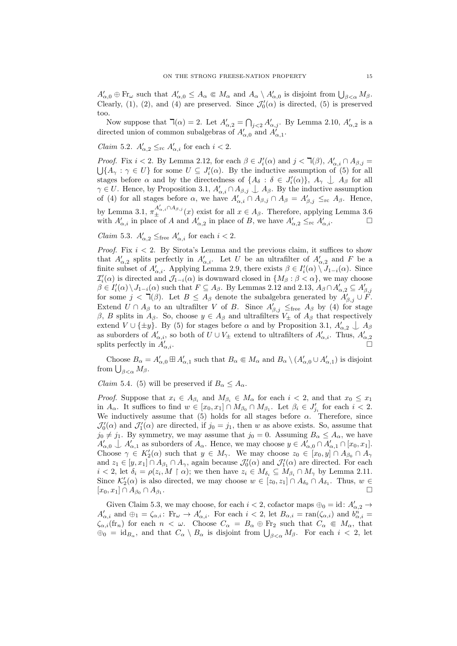$A'_{\alpha,0} \oplus \mathrm{Fr}_{\omega}$  such that  $A'_{\alpha,0} \leq A_{\alpha} \in M_{\alpha}$  and  $A_{\alpha} \setminus A'_{\alpha,0}$  is disjoint from  $\bigcup_{\beta < \alpha} M_{\beta}$ . Clearly, (1), (2), and (4) are preserved. Since  $\mathcal{J}'_0(\alpha)$  is directed, (5) is preserved too.

Now suppose that  $\mathcal{T}(\alpha) = 2$ . Let  $A'_{\alpha,2} = \bigcap_{j<2} A'_{\alpha,j}$ . By Lemma 2.10,  $A'_{\alpha,2}$  is a directed union of common subalgebras of  $A'_{\alpha,0}$  and  $A'_{\alpha,1}$ .

*Claim* 5.2.  $A'_{\alpha,2} \leq_{\text{rc}} A'_{\alpha,i}$  for each  $i < 2$ .

*Proof.* Fix  $i < 2$ . By Lemma 2.12, for each  $\beta \in J'_i(\alpha)$  and  $j < \mathcal{T}(\beta)$ ,  $A'_{\alpha,i} \cap A_{\beta,j} =$  $\bigcup \{A_\gamma : \gamma \in U\}$  for some  $U \subseteq J_i'(\alpha)$ . By the inductive assumption of (5) for all stages before  $\alpha$  and by the directedness of  $\{A_\delta : \delta \in J'_i(\alpha)\}, A_\gamma \perp A_\beta$  for all  $\gamma \in U$ . Hence, by Proposition 3.1,  $A'_{\alpha,i} \cap A_{\beta,j} \perp A_{\beta}$ . By the inductive assumption of (4) for all stages before  $\alpha$ , we have  $A'_{\alpha,i} \cap A_{\beta,j} \cap A_{\beta} = A'_{\beta,j} \leq_{\rm rc} A_{\beta}$ . Hence, by Lemma 3.1,  $\pi_{\pm}^{A'_{\alpha,i} \cap A_{\beta,j}}(x)$  exist for all  $x \in A_{\beta}$ . Therefore, applying Lemma 3.6 with  $A'_{\alpha,i}$  in place of A and  $A'_{\alpha,2}$  in place of B, we have  $A'_{\alpha,2} \leq_{\rm rc} A'_{\alpha,i}$ .

*Claim* 5.3.  $A'_{\alpha,2} \leq_{\text{free}} A'_{\alpha,i}$  for each  $i < 2$ .

*Proof.* Fix  $i < 2$ . By Sirota's Lemma and the previous claim, it suffices to show that  $A'_{\alpha,2}$  splits perfectly in  $A'_{\alpha,i}$ . Let U be an ultrafilter of  $A'_{\alpha,2}$  and F be a finite subset of  $A'_{\alpha,i}$ . Applying Lemma 2.9, there exists  $\beta \in I'_i(\alpha) \setminus J_{1-i}(\alpha)$ . Since  $\mathcal{I}'_i(\alpha)$  is directed and  $\mathcal{J}_{1-i}(\alpha)$  is downward closed in  $\{M_\beta : \beta < \alpha\}$ , we may choose  $\beta \in I'_i(\alpha) \setminus J_{1-i}(\alpha)$  such that  $F \subseteq A_\beta$ . By Lemmas 2.12 and 2.13,  $A_\beta \cap A'_{\alpha,2} \subseteq A'_{\beta,j}$ for some  $j < \mathcal{L}(\beta)$ . Let  $B \leq A_{\beta}$  denote the subalgebra generated by  $A'_{\beta,j} \cup F$ . Extend  $U \cap A_{\beta}$  to an ultrafilter V of B. Since  $A'_{\beta,j} \leq_{\text{free}} A_{\beta}$  by (4) for stage β, B splits in  $A_\beta$ . So, choose  $y \in A_\beta$  and ultrafilters  $V_\pm$  of  $A_\beta$  that respectively extend  $V \cup \{\pm y\}$ . By (5) for stages before  $\alpha$  and by Proposition 3.1,  $A'_{\alpha,2} \perp A_{\beta}$ as suborders of  $A'_{\alpha,i}$ , so both of  $U \cup V_{\pm}$  extend to ultrafilters of  $A'_{\alpha,i}$ . Thus,  $A'_{\alpha,2}$  splits perfectly in  $A'_{\alpha,i}$ . splits perfectly in  $A'_{\alpha,i}$ .

Choose  $B_{\alpha} = A'_{\alpha,0} \boxplus A'_{\alpha,1}$  such that  $B_{\alpha} \in M_{\alpha}$  and  $B_{\alpha} \setminus (A'_{\alpha,0} \cup A'_{\alpha,1})$  is disjoint from  $\bigcup_{\beta<\alpha}M_{\beta}$ .

*Claim* 5.4. (5) will be preserved if  $B_{\alpha} \leq A_{\alpha}$ .

*Proof.* Suppose that  $x_i \in A_{\beta_i}$  and  $M_{\beta_i} \in M_\alpha$  for each  $i < 2$ , and that  $x_0 \leq x_1$ in  $A_{\alpha}$ . It suffices to find  $w \in [x_0, x_1] \cap M_{\beta_0} \cap M_{\beta_1}$ . Let  $\beta_i \in J'_{j_i}$  for each  $i < 2$ . We inductively assume that (5) holds for all stages before  $\alpha$ . Therefore, since  $\mathcal{J}'_0(\alpha)$  and  $\mathcal{J}'_1(\alpha)$  are directed, if  $j_0 = j_1$ , then w as above exists. So, assume that  $j_0 \neq j_1$ . By symmetry, we may assume that  $j_0 = 0$ . Assuming  $B_\alpha \leq A_\alpha$ , we have  $A'_{\alpha,0} \perp A'_{\alpha,1}$  as suborders of  $A_{\alpha}$ . Hence, we may choose  $y \in A'_{\alpha,0} \cap A'_{\alpha,1} \cap [x_0, x_1]$ . Choose  $\gamma \in K_2'(\alpha)$  such that  $y \in M_\gamma$ . We may choose  $z_0 \in [x_0, y] \cap A_{\beta_0} \cap A_{\gamma_0}$ and  $z_1 \in [y, x_1] \cap A_{\beta_1} \cap A_{\gamma}$ , again because  $\mathcal{J}'_0(\alpha)$  and  $\mathcal{J}'_1(\alpha)$  are directed. For each  $i < 2$ , let  $\delta_i = \rho(z_i, M \restriction \alpha)$ ; we then have  $z_i \in M_{\delta_i} \subseteq M_{\beta_i} \cap M_{\gamma}$  by Lemma 2.11. Since  $\mathcal{K}'_2(\alpha)$  is also directed, we may choose  $w \in [z_0, z_1] \cap A_{\delta_0} \cap A_{\delta_1}$ . Thus,  $w \in$  $[x_0, x_1] \cap A_{\beta_0} \cap A_{\beta_1}.$ .

Given Claim 5.3, we may choose, for each  $i < 2$ , cofactor maps  $\oplus_0 = id$ :  $A'_{\alpha,2} \to$  $A'_{\alpha,i}$  and  $\oplus_1 = \zeta_{\alpha,i}$ :  $\text{Fr}_{\omega} \to A'_{\alpha,i}$ . For each  $i < 2$ , let  $B_{\alpha,i} = \text{ran}(\zeta_{\alpha,i})$  and  $b^{\dot{n}}_{\alpha,i} =$  $\zeta_{\alpha,i}(\text{fr}_n)$  for each  $n < \omega$ . Choose  $C_{\alpha} = B_{\alpha} \oplus \text{Fr}_2$  such that  $C_{\alpha} \in M_{\alpha}$ , that  $\Theta_0 = \text{id}_{B_\alpha}$ , and that  $C_\alpha \setminus B_\alpha$  is disjoint from  $\bigcup_{\beta < \alpha} M_\beta$ . For each  $i < 2$ , let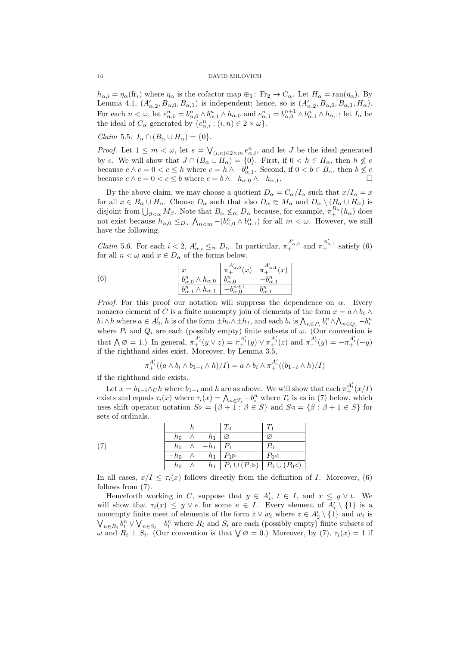$h_{\alpha,i} = \eta_\alpha(\text{fr}_i)$  where  $\eta_\alpha$  is the cofactor map  $\bigoplus_1 : \text{Fr}_2 \to C_\alpha$ . Let  $H_\alpha = \text{ran}(\eta_\alpha)$ . By Lemma 4.1,  $(A'_{\alpha,2}, B_{\alpha,0}, B_{\alpha,1})$  is independent; hence, so is  $(A'_{\alpha,2}, B_{\alpha,0}, B_{\alpha,1}, H_{\alpha})$ . For each  $n < \omega$ , let  $e_{\alpha,0}^n = b_{\alpha,0}^n \wedge b_{\alpha,1}^n \wedge h_{\alpha,0}$  and  $e_{\alpha,1}^n = b_{\alpha,0}^{n+1} \wedge b_{\alpha,1}^n \wedge h_{\alpha,1}$ ; let  $I_\alpha$  be the ideal of  $C_{\alpha}$  generated by  $\{e_{\alpha,i}^n : (i,n) \in 2 \times \omega\}.$ 

Claim 5.5.  $I_{\alpha} \cap (B_{\alpha} \cup H_{\alpha}) = \{0\}.$ 

*Proof.* Let  $1 \leq m < \omega$ , let  $e = \bigvee_{(i,n)\in 2\times m} e_{\alpha,i}^n$ , and let J be the ideal generated by e. We will show that  $J \cap (B_\alpha \cup H_\alpha) = \{0\}$ . First, if  $0 < h \in H_\alpha$ , then  $h \not\leq e$ because  $e \wedge c = 0 < c \leq h$  where  $c = h \wedge -b^0_{\alpha,1}$ . Second, if  $0 < b \in B_\alpha$ , then  $b \not\leq e$ because  $e \wedge c = 0 < c \leq b$  where  $c = b \wedge -h_{\alpha,0} \wedge -h_{\alpha,1}$ .

By the above claim, we may choose a quotient  $D_{\alpha} = C_{\alpha}/I_{\alpha}$  such that  $x/I_{\alpha} = x$ for all  $x \in B_\alpha \cup H_\alpha$ . Choose  $D_\alpha$  such that also  $D_\alpha \in M_\alpha$  and  $D_\alpha \setminus (B_\alpha \cup H_\alpha)$  is disjoint from  $\bigcup_{\beta<\alpha}M_{\beta}$ . Note that  $B_{\alpha}\nleq_{\text{rc}} D_{\alpha}$  because, for example,  $\pi^{B_{\alpha}}_+(h_{\alpha})$  does not exist because  $h_{\alpha,0} \leq_{D_{\alpha}} \bigwedge_{n \leq m} -(b_{\alpha,0}^n \wedge b_{\alpha,1}^n)$  for all  $m < \omega$ . However, we still have the following.

*Claim* 5.6. For each  $i < 2$ ,  $A'_{\alpha,i} \leq_{\text{rc}} D_{\alpha}$ . In particular,  $\pi^{A'_{\alpha,0}}_{+}$  and  $\pi^{A'_{\alpha,1}}_{+}$  satisfy (6) for all  $n < \omega$  and  $x \in D_{\alpha}$  of the forms below.

(6) 
$$
\frac{x}{\begin{array}{c|c|c|c}\n\frac{b_{\alpha,0}^n \wedge h_{\alpha,0} & b_{\alpha,0}^{n-1} & \pi_+^{A'_{\alpha,1}}(x) \\
\hline\n\frac{b_{\alpha,0}^n \wedge h_{\alpha,0} & b_{\alpha,0}^n & -b_{\alpha,1}^n \\
\hline\n\frac{b_{\alpha,1}^n \wedge h_{\alpha,1} & -b_{\alpha,0}^{n+1} & b_{\alpha,1}^n\n\end{array}}
$$

*Proof.* For this proof our notation will suppress the dependence on  $\alpha$ . Every nonzero element of C is a finite nonempty join of elements of the form  $x = a \wedge b_0 \wedge$  $b_1 \wedge h$  where  $a \in A'_2$ , h is of the form  $\pm h_0 \wedge \pm h_1$ , and each  $b_i$  is  $\bigwedge_{n \in P_i} b_i^n \wedge \bigwedge_{n \in Q_i} -b_i^n$ where  $P_i$  and  $Q_i$  are each (possibly empty) finite subsets of  $\omega$ . (Our convention is that  $\bigwedge \emptyset = 1$ .) In general,  $\pi^{A'_i}_+(y \vee z) = \pi^{A'_i}_+(y) \vee \pi^{A'_i}_+(z)$  and  $\pi^{A'_i}_-(y) = -\pi^{A'_i}_+(-y)$ if the righthand sides exist. Moreover, by Lemma 3.5,

$$
\pi_+^{A'_i}((a \wedge b_i \wedge b_{1-i} \wedge h)/I) = a \wedge b_i \wedge \pi_+^{A'_i}((b_{1-i} \wedge h)/I)
$$

if the righthand side exists.

Let  $x = b_{1-i} \wedge_C h$  where  $b_{1-i}$  and  $h$  are as above. We will show that each  $\pi_+^{A'_i}(x/I)$ exists and equals  $\tau_i(x)$  where  $\tau_i(x) = \bigwedge_{n \in T_i} -b_i^n$  where  $T_i$  is as in (7) below, which uses shift operator notation  $S\triangleright = {\beta + 1 : \beta \in S}$  and  $S\triangle = {\beta : \beta + 1 \in S}$  for sets of ordinals.

|     |                     |              | $-h_0 \wedge -h_1 \mid \varnothing$ |                                                                        | Ø                   |
|-----|---------------------|--------------|-------------------------------------|------------------------------------------------------------------------|---------------------|
| (7) |                     |              | $h_0 \wedge -h_1 \mid P_1$          |                                                                        |                     |
|     | $-h_0 \quad \wedge$ |              |                                     | $h_1 \mid P_1 \triangleright$                                          | $P_0 \triangleleft$ |
|     |                     | $h_0 \wedge$ |                                     | $h_1   P_1 \cup (P_1 \triangleright)   P_0 \cup (P_0 \triangleleft)  $ |                     |

In all cases,  $x/I \leq \tau_i(x)$  follows directly from the definition of I. Moreover, (6) follows from (7).

Henceforth working in C, suppose that  $y \in A'_i$ ,  $t \in I$ , and  $x \leq y \vee t$ . We will show that  $\tau_i(x) \leq y \vee e$  for some  $e \in I$ . Every element of  $A'_i \setminus \{1\}$  is a nonempty finite meet of elements of the form  $z \vee w_i$  where  $z \in A'_2 \setminus \{1\}$  and  $w_i$  is  $\bigvee_{n\in R_i} b_i^n \vee \bigvee_{n\in S_i} -b_i^n$  where  $R_i$  and  $S_i$  are each (possibly empty) finite subsets of  $ω$  and  $R_i$  ⊥  $S_i$ . (Our convention is that  $\bigvee \varnothing = 0$ .) Moreover, by (7),  $\tau_i(x) = 1$  if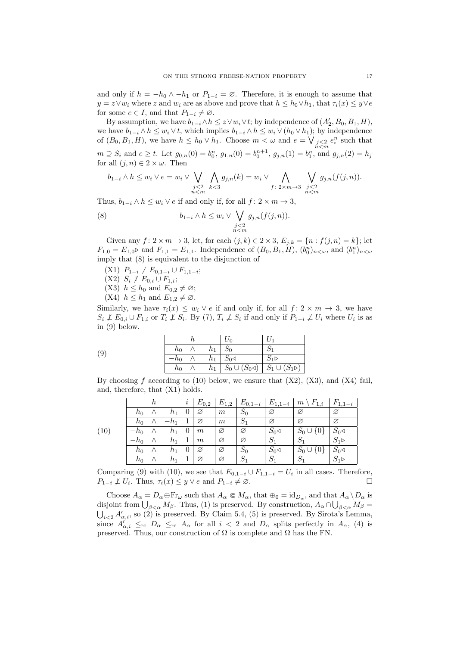and only if  $h = -h_0 \wedge -h_1$  or  $P_{1-i} = \emptyset$ . Therefore, it is enough to assume that  $y = z \vee w_i$  where z and  $w_i$  are as above and prove that  $h \leq h_0 \vee h_1$ , that  $\tau_i(x) \leq y \vee e$ for some  $e \in I$ , and that  $P_{1-i} \neq \emptyset$ .

By assumption, we have  $b_{1-i} \wedge h \leq z \vee w_i \vee t$ ; by independence of  $(A'_2, B_0, B_1, H)$ , we have  $b_{1-i} \wedge h \leq w_i \vee t$ , which implies  $b_{1-i} \wedge h \leq w_i \vee (h_0 \vee h_1)$ ; by independence of  $(B_0, B_1, H)$ , we have  $h \leq h_0 \vee h_1$ . Choose  $m < \omega$  and  $e = \bigvee_{\substack{j < 2 \ n < m}} e_i^n$  such that  $m \supseteq S_i$  and  $e \geq t$ . Let  $g_{0,n}(0) = b_0^n$ ,  $g_{1,n}(0) = b_0^{n+1}$ ,  $g_{j,n}(1) = b_1^n$ , and  $g_{j,n}(2) = h_j$ for all  $(j, n) \in 2 \times \omega$ . Then

$$
b_{1-i} \wedge h \leq w_i \vee e = w_i \vee \bigvee_{\substack{j < 2 \\ n < m}} \bigwedge_{k < 3} g_{j,n}(k) = w_i \vee \bigwedge_{f \colon 2 \times m \to 3} \bigvee_{\substack{j < 2 \\ n < m}} g_{j,n}(f(j,n)).
$$

Thus,  $b_{1-i} \wedge h \leq w_i \vee e$  if and only if, for all  $f: 2 \times m \rightarrow 3$ ,

(8) 
$$
b_{1-i} \wedge h \leq w_i \vee \bigvee_{\substack{j<2\\n
$$

Given any  $f: 2 \times m \to 3$ , let, for each  $(j, k) \in 2 \times 3$ ,  $E_{j,k} = \{n : f(j, n) = k\}$ ; let  $F_{1,0} = E_{1,0}$  and  $F_{1,1} = E_{1,1}$ . Independence of  $(B_0, B_1, H)$ ,  $(b_0^n)_{n \lt \omega}$ , and  $(b_1^n)_{n \lt \omega}$ imply that (8) is equivalent to the disjunction of

- $(X1)$   $P_{1-i} \not\perp E_{0,1-i} \cup F_{1,1-i};$
- $(X2)$   $S_i \not\perp E_{0,i} \cup F_{1,i};$
- (X3)  $h \leq h_0$  and  $E_{0,2} \neq \emptyset$ ;
- (X4)  $h \leq h_1$  and  $E_{1,2} \neq \emptyset$ .

Similarly, we have  $\tau_i(x) \leq w_i \vee e$  if and only if, for all  $f: 2 \times m \rightarrow 3$ , we have  $S_i \not\perp E_{0,i} \cup F_{1,i}$  or  $T_i \not\perp S_i$ . By (7),  $T_i \not\perp S_i$  if and only if  $P_{1-i} \not\perp U_i$  where  $U_i$  is as in (9) below.

| (9) |                    | $h_0 \wedge -h_1 \mid S_0$               |                                                                        |
|-----|--------------------|------------------------------------------|------------------------------------------------------------------------|
|     |                    | $-h_0 \wedge h_1 \mid S_0 \triangleleft$ | $^{\perp}S_1$                                                          |
|     | $h_0 \quad \wedge$ |                                          | $h_1   S_0 \cup (S_0 \triangleleft)   S_1 \cup (S_1 \triangleright)  $ |

By choosing f according to  $(10)$  below, we ensure that  $(X2)$ ,  $(X3)$ , and  $(X4)$  fail, and, therefore, that (X1) holds.

|      |        | h        |         | $\imath$ | $E_{0,2}$        | $E_{1,2}$ | $E_{0,1-i}$    | $E_{1,1-i}$         | $\setminus F_{1,i}$<br>$m^{\circ}$ | $F_{1,1-i}$          |
|------|--------|----------|---------|----------|------------------|-----------|----------------|---------------------|------------------------------------|----------------------|
|      | $n_0$  |          | $-h_1$  | 0        | Ø                | $\,m$     | $S_0$          | Ø                   | Ø                                  | Ø                    |
|      | $h_0$  |          | $-h_1$  |          | Ø                | m         | $S_1$          | Ø                   | Ø                                  | Ø                    |
| (10) | $-h_0$ | Λ        | $h_{1}$ | $\theta$ | $\boldsymbol{m}$ | Ø         | Ø              | $S_0 \triangleleft$ | $S_0 \cup$<br>$\{0\}$              | $S_0 \triangleleft$  |
|      | $-h_0$ |          | $h_1$   | 1        | $\boldsymbol{m}$ | Ø         | Ø              | $S_1$               | $S_1$                              | $S_1 \triangleright$ |
|      | $h_0$  | $\wedge$ | $h_1$   | 0        | Ø                | Ø         | $S_0$          | $S_0 \triangleleft$ | $S_0 \cup$<br>$\{0\}$              | $S_0 \triangleleft$  |
|      | $h_0$  |          | $h_1$   |          | Ø                | Ø         | $\mathcal{D}1$ | $S_1$               | $S_1$                              | $S_1 \triangleright$ |

Comparing (9) with (10), we see that  $E_{0,1-i} \cup F_{1,1-i} = U_i$  in all cases. Therefore,  $P_{1-i} \not\perp U_i$ . Thus,  $\tau_i(x) \leq y \vee e$  and  $P_{1-i} \neq \emptyset$ .

Choose  $A_{\alpha} = D_{\alpha} \oplus \text{Fr}_{\omega}$  such that  $A_{\alpha} \in M_{\alpha}$ , that  $\oplus_0 = \text{id}_{D_{\alpha}}$ , and that  $A_{\alpha} \setminus D_{\alpha}$  is disjoint from  $\bigcup_{\beta<\alpha}M_{\beta}$ . Thus, (1) is preserved. By construction,  $A_{\alpha}\cap\bigcup_{\beta<\alpha}M_{\beta}=$  $\bigcup_{i\leq 2} A'_{\alpha,i}$ , so (2) is preserved. By Claim 5.4, (5) is preserved. By Sirota's Lemma, since  $A'_{\alpha,i} \leq_{\rm rc} D_{\alpha} \leq_{\rm rc} A_{\alpha}$  for all  $i < 2$  and  $D_{\alpha}$  splits perfectly in  $A_{\alpha}$ , (4) is preserved. Thus, our construction of  $\Omega$  is complete and  $\Omega$  has the FN.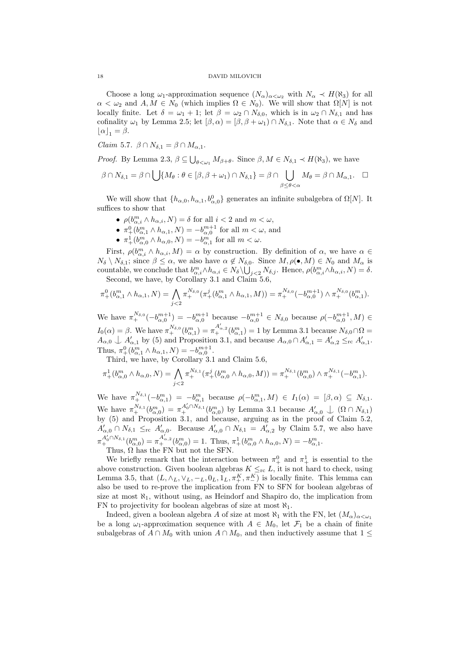Choose a long  $\omega_1$ -approximation sequence  $(N_\alpha)_{\alpha<\omega_2}$  with  $N_\alpha \prec H(N_3)$  for all  $\alpha < \omega_2$  and  $A, M \in N_0$  (which implies  $\Omega \in N_0$ ). We will show that  $\Omega[N]$  is not locally finite. Let  $\delta = \omega_1 + 1$ ; let  $\beta = \omega_2 \cap N_{\delta,0}$ , which is in  $\omega_2 \cap N_{\delta,1}$  and has cofinality  $\omega_1$  by Lemma 2.5; let  $[\beta, \alpha) = [\beta, \beta + \omega_1] \cap N_{\delta,1}$ . Note that  $\alpha \in N_{\delta}$  and  $|\alpha|_1 = \beta.$ 

Claim 5.7.  $\beta \cap N_{\delta,1} = \beta \cap M_{\alpha,1}$ .

*Proof.* By Lemma 2.3,  $\beta \subseteq \bigcup_{\theta \prec \omega_1} M_{\beta+\theta}$ . Since  $\beta, M \in N_{\delta,1} \prec H(\aleph_3)$ , we have

$$
\beta \cap N_{\delta,1} = \beta \cap \bigcup \{ M_{\theta} : \theta \in [\beta, \beta + \omega_1) \cap N_{\delta,1} \} = \beta \cap \bigcup_{\beta \leq \theta < \alpha} M_{\theta} = \beta \cap M_{\alpha,1}. \quad \Box
$$

We will show that  $\{h_{\alpha,0}, h_{\alpha,1}, b_{\alpha,0}^0\}$  generates an infinite subalgebra of  $\Omega[N]$ . It suffices to show that

- $\rho(b^m_{\alpha,i} \wedge h_{\alpha,i}, N) = \delta$  for all  $i < 2$  and  $m < \omega$ ,
- $\pi^0_+(b^m_{\alpha,1}\wedge h_{\alpha,1},N) = -b^{m+1}_{\alpha,0}$  for all  $m < \omega$ , and
- $\pi^1_+(b^m_{\alpha,0} \wedge h_{\alpha,0}, N) = -b^m_{\alpha,1}$  for all  $m < \omega$ .

First,  $\rho(b^m_{\alpha,i} \wedge h_{\alpha,i}, M) = \alpha$  by construction. By definition of  $\alpha$ , we have  $\alpha \in$  $N_{\delta} \setminus N_{\delta,1}$ ; since  $\beta \leq \alpha$ , we also have  $\alpha \notin N_{\delta,0}$ . Since  $M, \rho(\bullet, M) \in N_0$  and  $M_{\alpha}$  is countable, we conclude that  $b^m_{\alpha,i} \wedge h_{\alpha,i} \in N_{\delta} \setminus \bigcup_{j \leq 2} N_{\delta,j}$ . Hence,  $\rho(b^m_{\alpha,i} \wedge h_{\alpha,i}, N) = \delta$ . Second, we have, by Corollary 3.1 and Claim 5.6,

$$
\pi_+^0(b^m_{\alpha,1}\wedge h_{\alpha,1},N)=\bigwedge_{j<2}\pi_+^{N_{\delta,0}}(\pi_+^j(b^m_{\alpha,1}\wedge h_{\alpha,1},M))=\pi_+^{N_{\delta,0}}(-b^{m+1}_{\alpha,0})\wedge \pi_+^{N_{\delta,0}}(b^m_{\alpha,1}).
$$

We have  $\pi_+^{N_{\delta,0}}(-b_{\alpha,0}^{m+1}) = -b_{\alpha,0}^{m+1}$  because  $-b_{\alpha,0}^{m+1} \in N_{\delta,0}$  because  $\rho(-b_{\alpha,0}^{m+1}, M) \in$  $I_0(\alpha) = \beta$ . We have  $\pi_+^{N_{\delta,0}}(b_{\alpha,1}^m) = \pi_+^{A'_{\alpha,2}}(b_{\alpha,1}^m) = 1$  by Lemma 3.1 because  $N_{\delta,0} \cap \Omega =$  $A_{\alpha,0} \perp A'_{\alpha,1}$  by (5) and Proposition 3.1, and because  $A_{\alpha,0} \cap A'_{\alpha,1} = A'_{\alpha,2} \leq_{\text{rc}} A'_{\alpha,1}$ . Thus,  $\pi^0_+(b^m_{\alpha,1} \wedge h_{\alpha,1}, N) = -b^{m+1}_{\alpha,0}$ .

Third, we have, by Corollary 3.1 and Claim 5.6,

$$
\pi^1_+(b^m_{\alpha,0}\wedge h_{\alpha,0},N)=\bigwedge_{j<2}\pi^{N_{\delta,1}}_+( \pi^j_+(b^m_{\alpha,0}\wedge h_{\alpha,0},M))=\pi^{N_{\delta,1}}_+(b^m_{\alpha,0})\wedge \pi^{N_{\delta,1}}_+(-b^m_{\alpha,1}).
$$

We have  $\pi_+^{N_{\delta,1}}(-b^m_{\alpha,1}) = -b^m_{\alpha,1}$  because  $\rho(-b^m_{\alpha,1}, M) \in I_1(\alpha) = [\beta, \alpha) \subseteq N_{\delta,1}$ . We have  $\pi_+^{N_{\delta,1}}(b_{\alpha,0}^m) = \pi_+^{A_0' \cap N_{\delta,1}}(b_{\alpha,0}^m)$  by Lemma 3.1 because  $A_{\alpha,0}' \perp (\Omega \cap N_{\delta,1})$ by (5) and Proposition 3.1, and because, arguing as in the proof of Claim 5.2,  $A'_{\alpha,0} \cap N_{\delta,1} \leq_{\rm rc} A'_{\alpha,0}$ . Because  $A'_{\alpha,0} \cap N_{\delta,1} = A'_{\alpha,2}$  by Claim 5.7, we also have  $\pi_{+}^{A'_{0} \cap N_{\delta,1}}(b^{m}_{\alpha,0}) = \pi_{+}^{A'_{\alpha,2}}(b^{m}_{\alpha,0}) = 1$ . Thus,  $\pi_{+}^{1}(b^{m}_{\alpha,0} \wedge h_{\alpha,0}, N) = -b^{m}_{\alpha,1}$ .

Thus,  $\Omega$  has the FN but not the SFN.

We briefly remark that the interaction between  $\pi^0_+$  and  $\pi^1_+$  is essential to the above construction. Given boolean algebras  $K \leq_{\text{rc}} L$ , it is not hard to check, using Lemma 3.5, that  $(L, \wedge_L, \vee_L, -_L, 0_L, 1_L, \pi^K_+, \pi^K_-)$  is locally finite. This lemma can also be used to re-prove the implication from FN to SFN for boolean algebras of size at most  $\aleph_1$ , without using, as Heindorf and Shapiro do, the implication from FN to projectivity for boolean algebras of size at most  $\aleph_1$ .

Indeed, given a boolean algebra A of size at most  $\aleph_1$  with the FN, let  $(M_\alpha)_{\alpha<\omega_1}$ be a long  $\omega_1$ -approximation sequence with  $A \in M_0$ , let  $\mathcal{F}_1$  be a chain of finite subalgebras of  $A \cap M_0$  with union  $A \cap M_0$ , and then inductively assume that  $1 \leq$